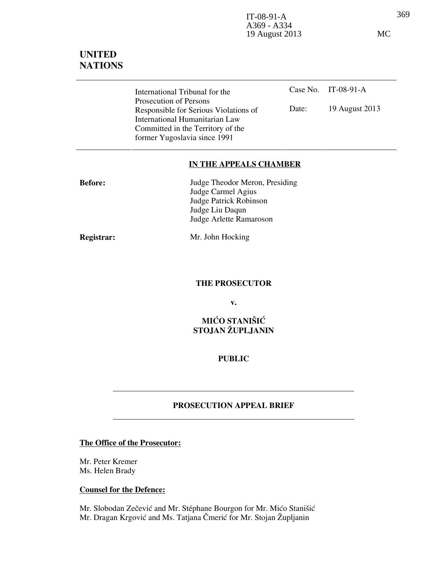369 IT-08-91-A A369 - A334 19 August 2013 MC

# UNITED **NATIONS**

Case No. IT-08-91-A Date: 19 August 2013 International Tribunal for the Prosecution of Persons Responsible for Serious Violations of International Humanitarian Law Committed in the Territory of the former Yugoslavia since 1991

#### IN THE APPEALS CHAMBER

| <b>Before:</b> | Judge Theodor Meron, Presiding |
|----------------|--------------------------------|
|                | Judge Carmel Agius             |
|                | Judge Patrick Robinson         |
|                | Judge Liu Daqun                |
|                | Judge Arlette Ramaroson        |
|                |                                |
|                |                                |

Registrar: Mr. John Hocking

THE PROSECUTOR

v.

### MIĆO STANIŠIĆ STOJAN ŽUPLJANIN

### PUBLIC

#### PROSECUTION APPEAL BRIEF

#### The Office of the Prosecutor:

Mr. Peter Kremer Ms. Helen Brady

#### Counsel for the Defence:

Mr. Slobodan Zečević and Mr. Stéphane Bourgon for Mr. Mićo Stanišić Mr. Dragan Krgović and Ms. Tatjana Čmerić for Mr. Stojan Župljanin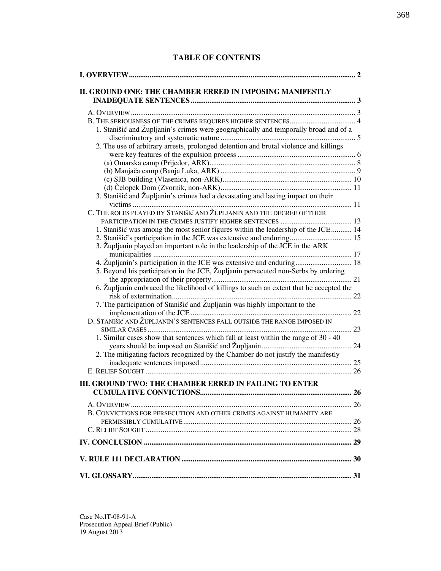#### TABLE OF CONTENTS

| 1. Stanišić and Župljanin's crimes were geographically and temporally broad and of a    |  |
|-----------------------------------------------------------------------------------------|--|
| 2. The use of arbitrary arrests, prolonged detention and brutal violence and killings   |  |
|                                                                                         |  |
|                                                                                         |  |
|                                                                                         |  |
|                                                                                         |  |
| 3. Stanišić and Župljanin's crimes had a devastating and lasting impact on their        |  |
| C. THE ROLES PLAYED BY STANIŠIĆ AND ŽUPLJANIN AND THE DEGREE OF THEIR                   |  |
|                                                                                         |  |
| 1. Stanišić was among the most senior figures within the leadership of the JCE 14       |  |
| 2. Stanišić's participation in the JCE was extensive and enduring 15                    |  |
| 3. Župljanin played an important role in the leadership of the JCE in the ARK           |  |
| 4. Župljanin's participation in the JCE was extensive and enduring 18                   |  |
| 5. Beyond his participation in the JCE, Župljanin persecuted non-Serbs by ordering      |  |
| 6. Župljanin embraced the likelihood of killings to such an extent that he accepted the |  |
| 7. The participation of Stanišić and Župljanin was highly important to the              |  |
| D. STANIŠIĆ AND ŽUPLJANIN'S SENTENCES FALL OUTSIDE THE RANGE IMPOSED IN                 |  |
| 1. Similar cases show that sentences which fall at least within the range of 30 - 40    |  |
| 2. The mitigating factors recognized by the Chamber do not justify the manifestly       |  |
|                                                                                         |  |
| <b>III. GROUND TWO: THE CHAMBER ERRED IN FAILING TO ENTER</b>                           |  |
|                                                                                         |  |
| B. CONVICTIONS FOR PERSECUTION AND OTHER CRIMES AGAINST HUMANITY ARE                    |  |
|                                                                                         |  |
|                                                                                         |  |
|                                                                                         |  |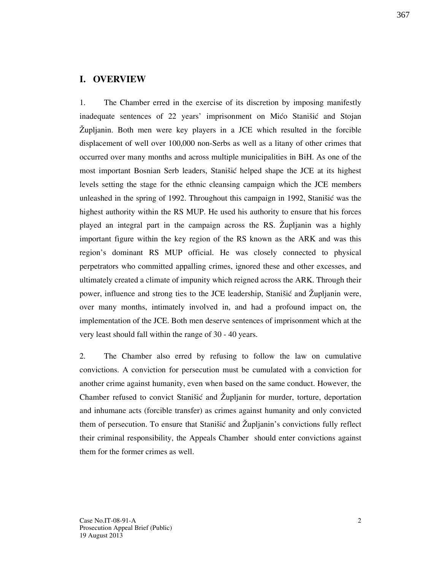#### I. OVERVIEW

1. The Chamber erred in the exercise of its discretion by imposing manifestly inadequate sentences of 22 years' imprisonment on Mico Stanišic and Stojan @upljanin. Both men were key players in a JCE which resulted in the forcible displacement of well over 100,000 non-Serbs as well as a litany of other crimes that occurred over many months and across multiple municipalities in BiH. As one of the most important Bosnian Serb leaders, Stanišić helped shape the JCE at its highest levels setting the stage for the ethnic cleansing campaign which the JCE members unleashed in the spring of 1992. Throughout this campaign in 1992, Stanišić was the highest authority within the RS MUP. He used his authority to ensure that his forces played an integral part in the campaign across the RS. Zupljanin was a highly important figure within the key region of the RS known as the ARK and was this region's dominant RS MUP official. He was closely connected to physical perpetrators who committed appalling crimes, ignored these and other excesses, and ultimately created a climate of impunity which reigned across the ARK. Through their power, influence and strong ties to the JCE leadership, Stanišić and Zupljanin were, over many months, intimately involved in, and had a profound impact on, the implementation of the JCE. Both men deserve sentences of imprisonment which at the very least should fall within the range of 30 - 40 years.

2. The Chamber also erred by refusing to follow the law on cumulative convictions. A conviction for persecution must be cumulated with a conviction for another crime against humanity, even when based on the same conduct. However, the Chamber refused to convict Stanišić and Župljanin for murder, torture, deportation and inhumane acts (forcible transfer) as crimes against humanity and only convicted them of persecution. To ensure that Stanišić and Župljanin's convictions fully reflect their criminal responsibility, the Appeals Chamber should enter convictions against them for the former crimes as well.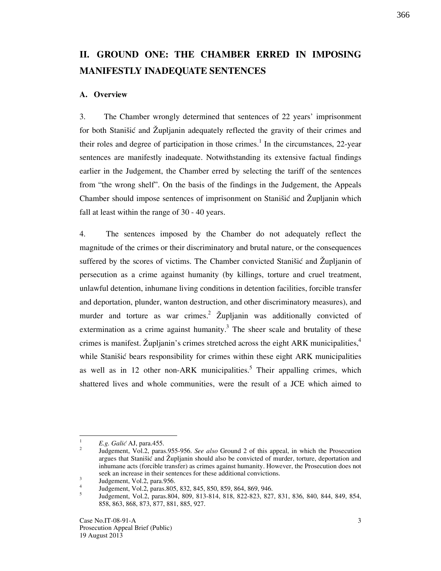# II. GROUND ONE: THE CHAMBER ERRED IN IMPOSING MANIFESTLY INADEQUATE SENTENCES

#### A. Overview

3. The Chamber wrongly determined that sentences of 22 years' imprisonment for both Stanišić and Župljanin adequately reflected the gravity of their crimes and their roles and degree of participation in those crimes.<sup>1</sup> In the circumstances, 22-year sentences are manifestly inadequate. Notwithstanding its extensive factual findings earlier in the Judgement, the Chamber erred by selecting the tariff of the sentences from "the wrong shelf". On the basis of the findings in the Judgement, the Appeals Chamber should impose sentences of imprisonment on Stanišić and Župljanin which fall at least within the range of 30 - 40 years.

4. The sentences imposed by the Chamber do not adequately reflect the magnitude of the crimes or their discriminatory and brutal nature, or the consequences suffered by the scores of victims. The Chamber convicted Stanišić and Župljanin of persecution as a crime against humanity (by killings, torture and cruel treatment, unlawful detention, inhumane living conditions in detention facilities, forcible transfer and deportation, plunder, wanton destruction, and other discriminatory measures), and murder and torture as war crimes.<sup>2</sup>  $\check{Z}$ upljanin was additionally convicted of extermination as a crime against humanity.<sup>3</sup> The sheer scale and brutality of these crimes is manifest. Zupljanin's crimes stretched across the eight ARK municipalities, $4\overline{ }$ while Stanišić bears responsibility for crimes within these eight ARK municipalities as well as in 12 other non-ARK municipalities.<sup>5</sup> Their appalling crimes, which shattered lives and whole communities, were the result of a JCE which aimed to

 $\frac{1}{1}$  $E.g.$  Galić AJ, para.455. 2

Judgement, Vol.2, paras.955-956. See also Ground 2 of this appeal, in which the Prosecution argues that Stanišić and Župljanin should also be convicted of murder, torture, deportation and inhumane acts (forcible transfer) as crimes against humanity. However, the Prosecution does not seek an increase in their sentences for these additional convictions.

<sup>3</sup> Judgement, Vol.2, para.956. 4

Judgement, Vol.2, paras.805, 832, 845, 850, 859, 864, 869, 946. 5

Judgement, Vol.2, paras.804, 809, 813-814, 818, 822-823, 827, 831, 836, 840, 844, 849, 854, 858, 863, 868, 873, 877, 881, 885, 927.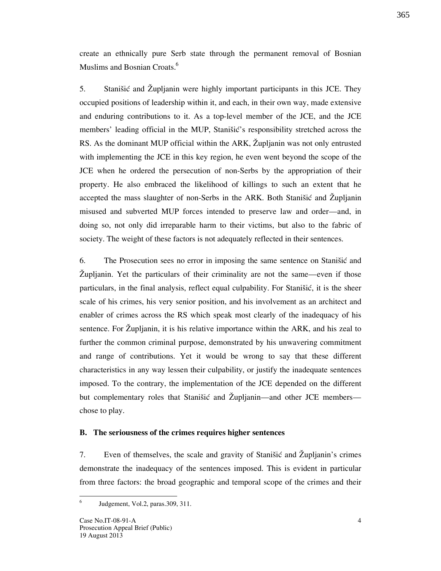create an ethnically pure Serb state through the permanent removal of Bosnian Muslims and Bosnian Croats.<sup>6</sup>

5. Stanišić and Župljanin were highly important participants in this JCE. They occupied positions of leadership within it, and each, in their own way, made extensive and enduring contributions to it. As a top-level member of the JCE, and the JCE members' leading official in the MUP, Stanišić's responsibility stretched across the RS. As the dominant MUP official within the ARK, Zupljanin was not only entrusted with implementing the JCE in this key region, he even went beyond the scope of the JCE when he ordered the persecution of non-Serbs by the appropriation of their property. He also embraced the likelihood of killings to such an extent that he accepted the mass slaughter of non-Serbs in the ARK. Both Stanistic and Zupljanin misused and subverted MUP forces intended to preserve law and order—and, in doing so, not only did irreparable harm to their victims, but also to the fabric of society. The weight of these factors is not adequately reflected in their sentences.

6. The Prosecution sees no error in imposing the same sentence on Stanistic and @upljanin. Yet the particulars of their criminality are not the same—even if those particulars, in the final analysis, reflect equal culpability. For Stanistic, it is the sheer scale of his crimes, his very senior position, and his involvement as an architect and enabler of crimes across the RS which speak most clearly of the inadequacy of his sentence. For Zupljanin, it is his relative importance within the ARK, and his zeal to further the common criminal purpose, demonstrated by his unwavering commitment and range of contributions. Yet it would be wrong to say that these different characteristics in any way lessen their culpability, or justify the inadequate sentences imposed. To the contrary, the implementation of the JCE depended on the different but complementary roles that Stanišić and Župljanin—and other JCE members chose to play.

#### B. The seriousness of the crimes requires higher sentences

7. Even of themselves, the scale and gravity of Stanistic and Župljanin's crimes demonstrate the inadequacy of the sentences imposed. This is evident in particular from three factors: the broad geographic and temporal scope of the crimes and their

 $\frac{1}{6}$ Judgement, Vol.2, paras.309, 311.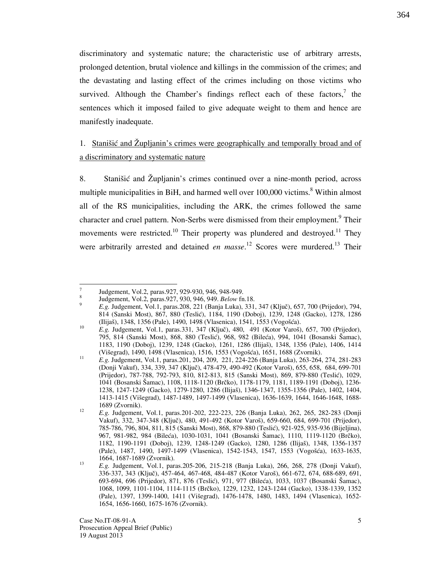discriminatory and systematic nature; the characteristic use of arbitrary arrests, prolonged detention, brutal violence and killings in the commission of the crimes; and the devastating and lasting effect of the crimes including on those victims who survived. Although the Chamber's findings reflect each of these factors, $\frac{7}{1}$  the sentences which it imposed failed to give adequate weight to them and hence are manifestly inadequate.

# 1. Stanišić and Župljanin's crimes were geographically and temporally broad and of a discriminatory and systematic nature

8. Stanišić and Župljanin's crimes continued over a nine-month period, across multiple municipalities in BiH, and harmed well over  $100,000$  victims.<sup>8</sup> Within almost all of the RS municipalities, including the ARK, the crimes followed the same character and cruel pattern. Non-Serbs were dismissed from their employment.<sup>9</sup> Their movements were restricted.<sup>10</sup> Their property was plundered and destroyed.<sup>11</sup> They were arbitrarily arrested and detained *en masse*.<sup>12</sup> Scores were murdered.<sup>13</sup> Their

 $\frac{1}{7}$  Judgement, Vol.2, paras.927, 929-930, 946, 948-949. 8

Judgement, Vol.2, paras.927, 930, 946, 949. Below fn.18.

<sup>9</sup> E.g. Judgement, Vol.1, paras.208, 221 (Banja Luka), 331, 347 (Ključ), 657, 700 (Prijedor), 794, 814 (Sanski Most), 867, 880 (Teslić), 1184, 1190 (Doboj), 1239, 1248 (Gacko), 1278, 1286 (Ilijaš), 1348, 1356 (Pale), 1490, 1498 (Vlasenica), 1541, 1553 (Vogošća).

<sup>10</sup> E.g. Judgement, Vol.1, paras.331, 347 (Ključ), 480, 491 (Kotor Varoš), 657, 700 (Prijedor), 795, 814 (Sanski Most), 868, 880 (Teslić), 968, 982 (Bileća), 994, 1041 (Bosanski Šamac), 1183, 1190 (Doboj), 1239, 1248 (Gacko), 1261, 1286 (Ilija{), 1348, 1356 (Pale), 1406, 1414 (Višegrad), 1490, 1498 (Vlasenica), 1516, 1553 (Vogošća), 1651, 1688 (Zvornik).

<sup>11</sup> E.g. Judgement, Vol.1, paras.201, 204, 209, 221, 224-226 (Banja Luka), 263-264, 274, 281-283 (Donji Vakuf), 334, 339, 347 (Klju~), 478-479, 490-492 (Kotor Varo{), 655, 658, 684, 699-701 (Prijedor), 787-788, 792-793, 810, 812-813, 815 (Sanski Most), 869, 879-880 (Teslić), 1029, 1041 (Bosanski Šamac), 1108, 1118-1120 (Brčko), 1178-1179, 1181, 1189-1191 (Doboj), 1236-1238, 1247-1249 (Gacko), 1279-1280, 1286 (Ilija{), 1346-1347, 1355-1356 (Pale), 1402, 1404, 1413-1415 (Vi{egrad), 1487-1489, 1497-1499 (Vlasenica), 1636-1639, 1644, 1646-1648, 1688- 1689 (Zvornik). 12

E.g. Judgement, Vol.1, paras.201-202, 222-223, 226 (Banja Luka), 262, 265, 282-283 (Donji Vakuf), 332, 347-348 (Ključ), 480, 491-492 (Kotor Varoš), 659-660, 684, 699-701 (Prijedor), 785-786, 796, 804, 811, 815 (Sanski Most), 868, 879-880 (Teslić), 921-925, 935-936 (Bijeljina), 967, 981-982, 984 (Bileća), 1030-1031, 1041 (Bosanski Šamac), 1110, 1119-1120 (Brčko), 1182, 1190-1191 (Doboj), 1239, 1248-1249 (Gacko), 1280, 1286 (Ilija{), 1348, 1356-1357 (Pale), 1487, 1490, 1497-1499 (Vlasenica), 1542-1543, 1547, 1553 (Vogošća), 1633-1635, 1664, 1687-1689 (Zvornik). 13

E.g. Judgement, Vol.1, paras.205-206, 215-218 (Banja Luka), 266, 268, 278 (Donji Vakuf), 336-337, 343 (Ključ), 457-464, 467-468, 484-487 (Kotor Varoš), 661-672, 674, 688-689, 691, 693-694, 696 (Prijedor), 871, 876 (Teslić), 971, 977 (Bileća), 1033, 1037 (Bosanski Šamac), 1068, 1099, 1101-1104, 1114-1115 (Brčko), 1229, 1232, 1243-1244 (Gacko), 1338-1339, 1352 (Pale), 1397, 1399-1400, 1411 (Višegrad), 1476-1478, 1480, 1483, 1494 (Vlasenica), 1652-1654, 1656-1660, 1675-1676 (Zvornik).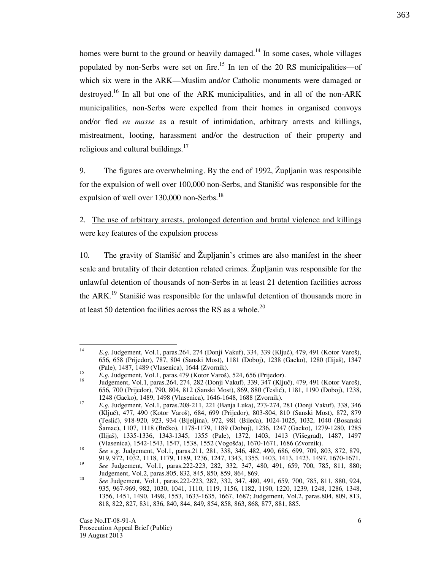homes were burnt to the ground or heavily damaged.<sup>14</sup> In some cases, whole villages populated by non-Serbs were set on fire.<sup>15</sup> In ten of the 20 RS municipalities—of which six were in the ARK—Muslim and/or Catholic monuments were damaged or destroyed.<sup>16</sup> In all but one of the ARK municipalities, and in all of the non-ARK municipalities, non-Serbs were expelled from their homes in organised convoys and/or fled en masse as a result of intimidation, arbitrary arrests and killings, mistreatment, looting, harassment and/or the destruction of their property and religious and cultural buildings. $17$ 

9. The figures are overwhelming. By the end of 1992,  $\check{Z}$ upljanin was responsible for the expulsion of well over 100,000 non-Serbs, and Stanistic was responsible for the expulsion of well over  $130,000$  non-Serbs.<sup>18</sup>

## 2. The use of arbitrary arrests, prolonged detention and brutal violence and killings were key features of the expulsion process

10. The gravity of Stanistic and Župljanin's crimes are also manifest in the sheer scale and brutality of their detention related crimes. Župljanin was responsible for the unlawful detention of thousands of non-Serbs in at least 21 detention facilities across the ARK.<sup>19</sup> Stanišić was responsible for the unlawful detention of thousands more in at least 50 detention facilities across the RS as a whole.<sup>20</sup>

 $\frac{1}{14}$ E.g. Judgement, Vol.1, paras.264, 274 (Donji Vakuf), 334, 339 (Ključ), 479, 491 (Kotor Varoš), 656, 658 (Prijedor), 787, 804 (Sanski Most), 1181 (Doboj), 1238 (Gacko), 1280 (Ilija{), 1347 (Pale), 1487, 1489 (Vlasenica), 1644 (Zvornik).

<sup>15</sup> <sup>15</sup> E.g. Judgement, Vol.1, paras.479 (Kotor Varoš), 524, 656 (Prijedor).

Judgement, Vol.1, paras.264, 274, 282 (Donji Vakuf), 339, 347 (Ključ), 479, 491 (Kotor Varoš), 656, 700 (Prijedor), 790, 804, 812 (Sanski Most), 869, 880 (Teslić), 1181, 1190 (Doboj), 1238, 1248 (Gacko), 1489, 1498 (Vlasenica), 1646-1648, 1688 (Zvornik).

<sup>17</sup> E.g. Judgement, Vol.1, paras.208-211, 221 (Banja Luka), 273-274, 281 (Donji Vakuf), 338, 346 (Ključ), 477, 490 (Kotor Varoš), 684, 699 (Prijedor), 803-804, 810 (Sanski Most), 872, 879 (Tesli}), 918-920, 923, 934 (Bijeljina), 972, 981 (Bile}a), 1024-1025, 1032, 1040 (Bosanski Šamac), 1107, 1118 (Brčko), 1178-1179, 1189 (Doboj), 1236, 1247 (Gacko), 1279-1280, 1285 (Ilijaš), 1335-1336, 1343-1345, 1355 (Pale), 1372, 1403, 1413 (Višegrad), 1487, 1497 (Vlasenica), 1542-1543, 1547, 1538, 1552 (Vogošća), 1670-1671, 1686 (Zvornik).

<sup>18</sup> See e.g. Judgement, Vol.1, paras.211, 281, 338, 346, 482, 490, 686, 699, 709, 803, 872, 879, 919, 972, 1032, 1118, 1179, 1189, 1236, 1247, 1343, 1355, 1403, 1413, 1423, 1497, 1670-1671.

<sup>19</sup> See Judgement, Vol.1, paras.222-223, 282, 332, 347, 480, 491, 659, 700, 785, 811, 880; Judgement, Vol.2, paras.805, 832, 845, 850, 859, 864, 869.

<sup>20</sup> See Judgement, Vol.1, paras.222-223, 282, 332, 347, 480, 491, 659, 700, 785, 811, 880, 924, 935, 967-969, 982, 1030, 1041, 1110, 1119, 1156, 1182, 1190, 1220, 1239, 1248, 1286, 1348, 1356, 1451, 1490, 1498, 1553, 1633-1635, 1667, 1687; Judgement, Vol.2, paras.804, 809, 813, 818, 822, 827, 831, 836, 840, 844, 849, 854, 858, 863, 868, 877, 881, 885.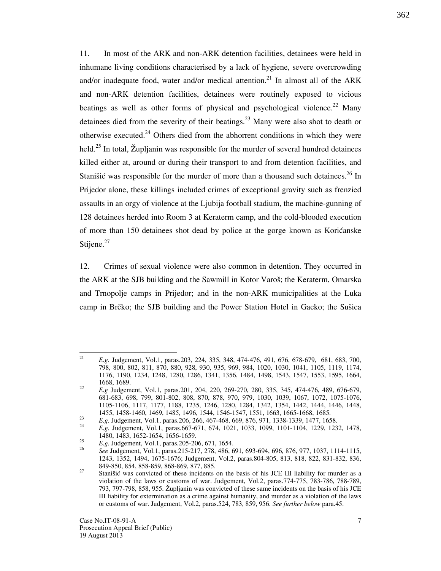11. In most of the ARK and non-ARK detention facilities, detainees were held in inhumane living conditions characterised by a lack of hygiene, severe overcrowding and/or inadequate food, water and/or medical attention.<sup>21</sup> In almost all of the ARK and non-ARK detention facilities, detainees were routinely exposed to vicious beatings as well as other forms of physical and psychological violence.<sup>22</sup> Many detainees died from the severity of their beatings.<sup>23</sup> Many were also shot to death or otherwise executed.<sup>24</sup> Others died from the abhorrent conditions in which they were held.<sup>25</sup> In total, Župljanin was responsible for the murder of several hundred detainees killed either at, around or during their transport to and from detention facilities, and Stanišić was responsible for the murder of more than a thousand such detainees.<sup>26</sup> In Prijedor alone, these killings included crimes of exceptional gravity such as frenzied assaults in an orgy of violence at the Ljubija football stadium, the machine-gunning of 128 detainees herded into Room 3 at Keraterm camp, and the cold-blooded execution of more than 150 detainees shot dead by police at the gorge known as Korićanske Stijene. $27$ 

12. Crimes of sexual violence were also common in detention. They occurred in the ARK at the SJB building and the Sawmill in Kotor Varo<sub>s</sub>; the Keraterm, Omarska and Trnopolje camps in Prijedor; and in the non-ARK municipalities at the Luka camp in Brčko; the SJB building and the Power Station Hotel in Gacko; the Sušica

 $\frac{1}{21}$  E.g. Judgement, Vol.1, paras.203, 224, 335, 348, 474-476, 491, 676, 678-679, 681, 683, 700, 798, 800, 802, 811, 870, 880, 928, 930, 935, 969, 984, 1020, 1030, 1041, 1105, 1119, 1174, 1176, 1190, 1234, 1248, 1280, 1286, 1341, 1356, 1484, 1498, 1543, 1547, 1553, 1595, 1664, 1668, 1689.

<sup>22</sup> E.g Judgement, Vol.1, paras.201, 204, 220, 269-270, 280, 335, 345, 474-476, 489, 676-679, 681-683, 698, 799, 801-802, 808, 870, 878, 970, 979, 1030, 1039, 1067, 1072, 1075-1076, 1105-1106, 1117, 1177, 1188, 1235, 1246, 1280, 1284, 1342, 1354, 1442, 1444, 1446, 1448, 1455, 1458-1460, 1469, 1485, 1496, 1544, 1546-1547, 1551, 1663, 1665-1668, 1685.

 $23$ E.g. Judgement, Vol.1, paras.206, 266, 467-468, 669, 876, 971, 1338-1339, 1477, 1658.

<sup>24</sup> E.g. Judgement, Vol.1, paras.667-671, 674, 1021, 1033, 1099, 1101-1104, 1229, 1232, 1478, 1480, 1483, 1652-1654, 1656-1659. 25

E.g. Judgement, Vol.1, paras.205-206, 671, 1654.

<sup>26</sup> See Judgement, Vol.1, paras.215-217, 278, 486, 691, 693-694, 696, 876, 977, 1037, 1114-1115, 1243, 1352, 1494, 1675-1676; Judgement, Vol.2, paras.804-805, 813, 818, 822, 831-832, 836, 849-850, 854, 858-859, 868-869, 877, 885.

<sup>&</sup>lt;sup>27</sup> Stanišić was convicted of these incidents on the basis of his JCE III liability for murder as a violation of the laws or customs of war. Judgement, Vol.2, paras.774-775, 783-786, 788-789, 793, 797-798, 858, 955. @upljanin was convicted of these same incidents on the basis of his JCE III liability for extermination as a crime against humanity, and murder as a violation of the laws or customs of war. Judgement, Vol.2, paras.524, 783, 859, 956. See further below para.45.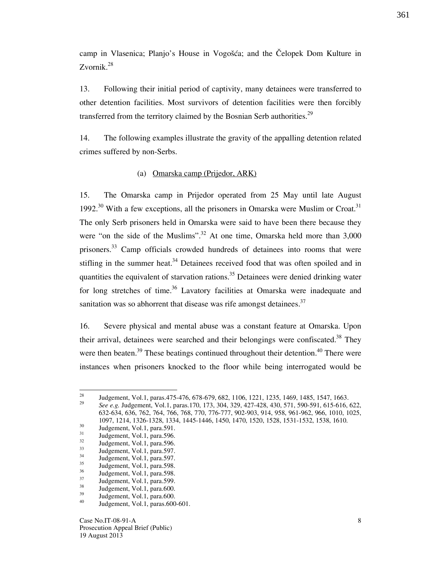camp in Vlasenica; Planjo's House in Vogošća; and the Čelopek Dom Kulture in Zvornik. $^{28}$ 

13. Following their initial period of captivity, many detainees were transferred to other detention facilities. Most survivors of detention facilities were then forcibly transferred from the territory claimed by the Bosnian Serb authorities.<sup>29</sup>

14. The following examples illustrate the gravity of the appalling detention related crimes suffered by non-Serbs.

#### (a) Omarska camp (Prijedor, ARK)

15. The Omarska camp in Prijedor operated from 25 May until late August 1992.<sup>30</sup> With a few exceptions, all the prisoners in Omarska were Muslim or Croat.<sup>31</sup> The only Serb prisoners held in Omarska were said to have been there because they were "on the side of the Muslims".<sup>32</sup> At one time, Omarska held more than  $3,000$ prisoners.<sup>33</sup> Camp officials crowded hundreds of detainees into rooms that were stifling in the summer heat.<sup>34</sup> Detainees received food that was often spoiled and in quantities the equivalent of starvation rations.<sup>35</sup> Detainees were denied drinking water for long stretches of time.<sup>36</sup> Lavatory facilities at Omarska were inadequate and sanitation was so abhorrent that disease was rife amongst detainees. $37$ 

16. Severe physical and mental abuse was a constant feature at Omarska. Upon their arrival, detainees were searched and their belongings were confiscated.<sup>38</sup> They were then beaten.<sup>39</sup> These beatings continued throughout their detention.<sup>40</sup> There were instances when prisoners knocked to the floor while being interrogated would be

 $28$ <sup>28</sup> Judgement, Vol.1, paras.475-476, 678-679, 682, 1106, 1221, 1235, 1469, 1485, 1547, 1663. 29

See e.g. Judgement, Vol.1, paras.170, 173, 304, 329, 427-428, 430, 571, 590-591, 615-616, 622, 632-634, 636, 762, 764, 766, 768, 770, 776-777, 902-903, 914, 958, 961-962, 966, 1010, 1025, 1097, 1214, 1326-1328, 1334, 1445-1446, 1450, 1470, 1520, 1528, 1531-1532, 1538, 1610.

 $30$  Judgement, Vol.1, para.591.

 $31 \tJudgement, Vol.1, para.596.$ 

 $3<sup>32</sup>$  Judgement, Vol.1, para.596.

 $33 \text{ Judgement}$ , Vol.1, para.597.

 $34$  Judgement, Vol.1, para.597.

 $35$  Judgement, Vol.1, para.598.

 $\frac{36}{37}$  Judgement, Vol.1, para.598.

 $\frac{37}{38}$  Judgement, Vol.1, para.599.

 $\frac{38}{39}$  Judgement, Vol.1, para.600.

 $39$  Judgement, Vol.1, para.600.

<sup>40</sup> Judgement, Vol.1, paras.600-601.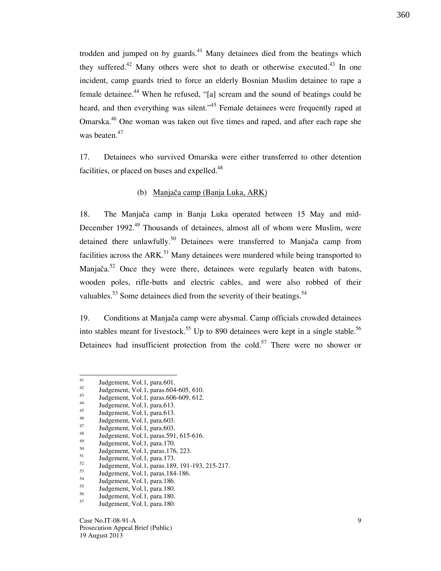trodden and jumped on by guards.<sup>41</sup> Many detainees died from the beatings which they suffered.<sup>42</sup> Many others were shot to death or otherwise executed.<sup>43</sup> In one incident, camp guards tried to force an elderly Bosnian Muslim detainee to rape a female detainee.<sup>44</sup> When he refused, "[a] scream and the sound of beatings could be heard, and then everything was silent."<sup>45</sup> Female detainees were frequently raped at Omarska.<sup>46</sup> One woman was taken out five times and raped, and after each rape she was beaten.<sup>47</sup>

17. Detainees who survived Omarska were either transferred to other detention facilities, or placed on buses and expelled.<sup>48</sup>

#### (b) Manjača camp (Banja Luka, ARK)

18. The Manjača camp in Banja Luka operated between 15 May and mid-December 1992.<sup>49</sup> Thousands of detainees, almost all of whom were Muslim, were detained there unlawfully.<sup>50</sup> Detainees were transferred to Manjača camp from facilities across the  $ARK<sup>51</sup>$  Many detainees were murdered while being transported to Manjača.<sup>52</sup> Once they were there, detainees were regularly beaten with batons, wooden poles, rifle-butts and electric cables, and were also robbed of their valuables.<sup>53</sup> Some detainees died from the severity of their beatings.<sup>54</sup>

19. Conditions at Manjača camp were abysmal. Camp officials crowded detainees into stables meant for livestock.<sup>55</sup> Up to 890 detainees were kept in a single stable.<sup>56</sup> Detainees had insufficient protection from the cold.<sup>57</sup> There were no shower or

- $\frac{42}{43}$  Judgement, Vol.1, paras.604-605, 610.
- $\frac{43}{44}$  Judgement, Vol.1, paras.606-609, 612.
- $\frac{44}{45}$  Judgement, Vol.1, para.613.
- $\frac{45}{46}$  Judgement, Vol.1, para.613.
- $\frac{46}{47}$  Judgement, Vol.1, para.603.
- $\frac{47}{48}$  Judgement, Vol.1, para.603.
- <sup>48</sup> Judgement, Vol.1, paras.591, 615-616.
- $^{49}$  Judgement, Vol.1, para.170.

 $\frac{51}{52}$  Judgement, Vol.1, para.173.

 $\frac{55}{56}$  Judgement, Vol.1, para.180.

<sup>41</sup>  $\frac{41}{42}$  Judgement, Vol.1, para.601.

 $^{50}$  Judgement, Vol.1, paras.176, 223.

 $^{52}$  Judgement, Vol.1, paras.189, 191-193, 215-217.

 $\frac{53}{54}$  Judgement, Vol.1, paras.184-186.

 $\frac{54}{55}$  Judgement, Vol.1, para.186.

 $\frac{56}{57}$  Judgement, Vol.1, para.180.

Judgement, Vol.1, para.180.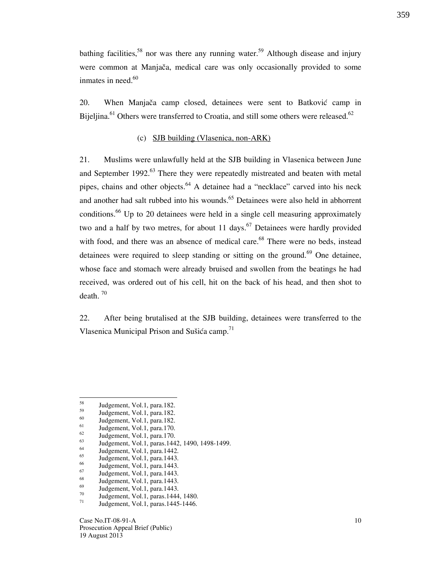bathing facilities,<sup>58</sup> nor was there any running water.<sup>59</sup> Although disease and injury were common at Manjača, medical care was only occasionally provided to some inmates in need. $60$ 

20. When Manjača camp closed, detainees were sent to Batković camp in Bijeljina.<sup>61</sup> Others were transferred to Croatia, and still some others were released.<sup>62</sup>

#### (c) SJB building (Vlasenica, non-ARK)

21. Muslims were unlawfully held at the SJB building in Vlasenica between June and September 1992.<sup>63</sup> There they were repeatedly mistreated and beaten with metal pipes, chains and other objects.<sup>64</sup> A detainee had a "necklace" carved into his neck and another had salt rubbed into his wounds.<sup>65</sup> Detainees were also held in abhorrent conditions.<sup>66</sup> Up to 20 detainees were held in a single cell measuring approximately two and a half by two metres, for about 11 days.<sup>67</sup> Detainees were hardly provided with food, and there was an absence of medical care.<sup>68</sup> There were no beds, instead detainees were required to sleep standing or sitting on the ground.<sup>69</sup> One detainee, whose face and stomach were already bruised and swollen from the beatings he had received, was ordered out of his cell, hit on the back of his head, and then shot to death.  $70$ 

22. After being brutalised at the SJB building, detainees were transferred to the Vlasenica Municipal Prison and Sušića camp.<sup>71</sup>

Case No.IT-08-91-A Prosecution Appeal Brief (Public) 19 August 2013

<sup>58</sup>  $^{58}$  Judgement, Vol.1, para.182.

 $^{59}$  Judgement, Vol.1, para.182.

 $^{60}$  Judgement, Vol.1, para.182.

 $^{61}$  Judgement, Vol.1, para.170.

 $^{62}$  Judgement, Vol.1, para.170.

 $^{63}$  Judgement, Vol.1, paras.1442, 1490, 1498-1499.

 $^{64}$  Judgement, Vol.1, para.1442.

 $\frac{65}{66}$  Judgement, Vol.1, para.1443.

 $^{66}$  Judgement, Vol.1, para.1443.

 $\frac{67}{68}$  Judgement, Vol.1, para.1443.

 $\frac{68}{69}$  Judgement, Vol.1, para.1443.

 $\frac{69}{70}$  Judgement, Vol.1, para.1443.  $^{70}$  Judgement, Vol.1, paras.1444, 1480.

Judgement, Vol.1, paras.1445-1446.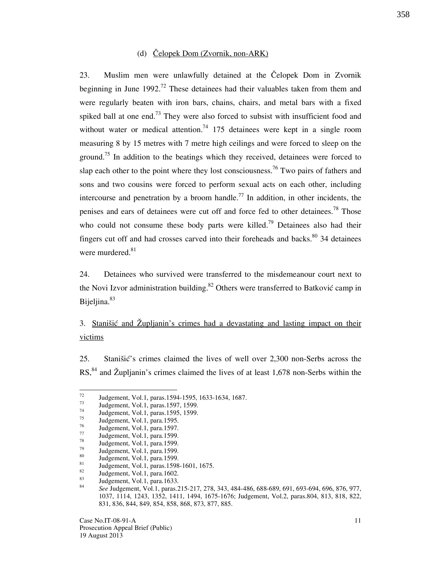#### (d)  $\text{Čelopek Dom (Zvornik, non-ARK)}$

23. Muslim men were unlawfully detained at the Čelopek Dom in Zvornik beginning in June 1992.<sup>72</sup> These detainees had their valuables taken from them and were regularly beaten with iron bars, chains, chairs, and metal bars with a fixed spiked ball at one end.<sup>73</sup> They were also forced to subsist with insufficient food and without water or medical attention.<sup>74</sup> 175 detainees were kept in a single room measuring 8 by 15 metres with 7 metre high ceilings and were forced to sleep on the ground.<sup>75</sup> In addition to the beatings which they received, detainees were forced to slap each other to the point where they lost consciousness.<sup>76</sup> Two pairs of fathers and sons and two cousins were forced to perform sexual acts on each other, including intercourse and penetration by a broom handle.<sup>77</sup> In addition, in other incidents, the penises and ears of detainees were cut off and force fed to other detainees.<sup>78</sup> Those who could not consume these body parts were killed.<sup>79</sup> Detainees also had their fingers cut off and had crosses carved into their foreheads and backs. $80$  34 detainees were murdered.<sup>81</sup>

24. Detainees who survived were transferred to the misdemeanour court next to the Novi Izvor administration building.<sup>82</sup> Others were transferred to Batković camp in Bijeljina.<sup>83</sup>

3. Stanišić and Župljanin's crimes had a devastating and lasting impact on their victims

25. Stanišić's crimes claimed the lives of well over 2,300 non-Serbs across the  $\text{RS}$ <sup>84</sup> and Župljanin's crimes claimed the lives of at least 1,678 non-Serbs within the

 $72$  $\frac{72}{73}$  Judgement, Vol.1, paras.1594-1595, 1633-1634, 1687.

 $^{73}$  Judgement, Vol.1, paras.1597, 1599.

 $^{74}$  Judgement, Vol.1, paras.1595, 1599.

 $^{75}$  Judgement, Vol.1, para.1595.

 $^{76}$  Judgement, Vol.1, para.1597.

 $^{77}$  Judgement, Vol.1, para.1599.

 $^{78}$  Judgement, Vol.1, para.1599.

 $^{79}$  Judgement, Vol.1, para.1599.

 $\frac{80}{81}$  Judgement, Vol.1, para.1599.

 $\frac{81}{82}$  Judgement, Vol.1, paras.1598-1601, 1675.

 $\frac{82}{83}$  Judgement, Vol.1, para.1602. Judgement, Vol.1, para.1633.

<sup>84</sup> See Judgement, Vol.1, paras.215-217, 278, 343, 484-486, 688-689, 691, 693-694, 696, 876, 977, 1037, 1114, 1243, 1352, 1411, 1494, 1675-1676; Judgement, Vol.2, paras.804, 813, 818, 822, 831, 836, 844, 849, 854, 858, 868, 873, 877, 885.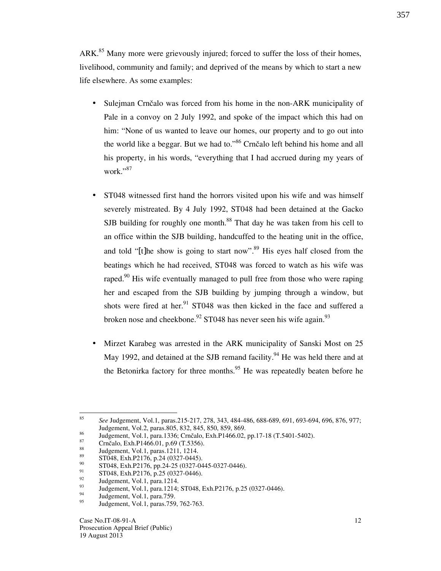ARK.<sup>85</sup> Many more were grievously injured; forced to suffer the loss of their homes, livelihood, community and family; and deprived of the means by which to start a new life elsewhere. As some examples:

- Sulejman Crnčalo was forced from his home in the non-ARK municipality of Pale in a convoy on 2 July 1992, and spoke of the impact which this had on him: "None of us wanted to leave our homes, our property and to go out into the world like a beggar. But we had to."86 Crnčalo left behind his home and all his property, in his words, "everything that I had accrued during my years of work."<sup>87</sup>
- ST048 witnessed first hand the horrors visited upon his wife and was himself severely mistreated. By 4 July 1992, ST048 had been detained at the Gacko SJB building for roughly one month.<sup>88</sup> That day he was taken from his cell to an office within the SJB building, handcuffed to the heating unit in the office, and told "[t]he show is going to start now".<sup>89</sup> His eyes half closed from the beatings which he had received, ST048 was forced to watch as his wife was raped.<sup>90</sup> His wife eventually managed to pull free from those who were raping her and escaped from the SJB building by jumping through a window, but shots were fired at her.<sup>91</sup> ST048 was then kicked in the face and suffered a broken nose and cheekbone.<sup>92</sup> ST048 has never seen his wife again.<sup>93</sup>
- Mirzet Karabeg was arrested in the ARK municipality of Sanski Most on 25 May 1992, and detained at the SJB remand facility.<sup>94</sup> He was held there and at the Betonirka factory for three months.<sup>95</sup> He was repeatedly beaten before he

 $rac{1}{85}$  See Judgement, Vol.1, paras.215-217, 278, 343, 484-486, 688-689, 691, 693-694, 696, 876, 977; Judgement, Vol.2, paras.805, 832, 845, 850, 859, 869.

<sup>&</sup>lt;sup>86</sup> Judgement, Vol.1, para.1336; Crnčalo, Exh.P1466.02, pp.17-18 (T.5401-5402).

 $^{87}$  Crnčalo, Exh.P1466.01, p.69 (T.5356).

 $\frac{88}{89}$  Judgement, Vol.1, paras.1211, 1214.

 $^{89}$  ST048, Exh.P2176, p.24 (0327-0445).

 $^{90}$  ST048, Exh.P2176, pp.24-25 (0327-0445-0327-0446).

 $^{91}$  ST048, Exh.P2176, p.25 (0327-0446).

 $^{92}$  Judgement, Vol.1, para.1214.

<sup>&</sup>lt;sup>93</sup> Judgement, Vol.1, para.1214; ST048, Exh.P2176, p.25 (0327-0446).

 $\frac{94}{95}$  Judgement, Vol.1, para.759.

Judgement, Vol.1, paras.759, 762-763.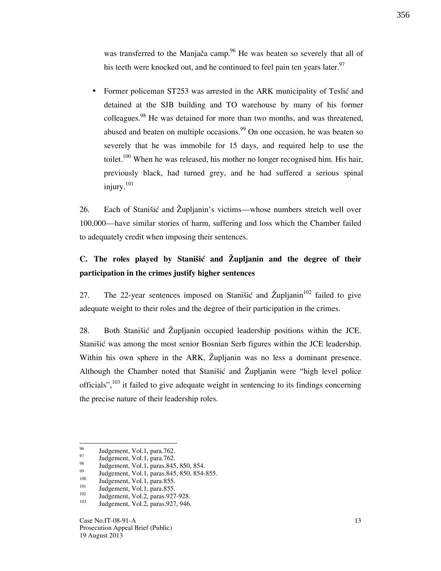was transferred to the Manjača camp.<sup>96</sup> He was beaten so severely that all of his teeth were knocked out, and he continued to feel pain ten years later.<sup>97</sup>

Former policeman ST253 was arrested in the ARK municipality of Teslić and detained at the SJB building and TO warehouse by many of his former colleagues.<sup>98</sup> He was detained for more than two months, and was threatened, abused and beaten on multiple occasions.<sup>99</sup> On one occasion, he was beaten so severely that he was immobile for 15 days, and required help to use the toilet.<sup>100</sup> When he was released, his mother no longer recognised him. His hair, previously black, had turned grey, and he had suffered a serious spinal injury.<sup>101</sup>

26. Each of Stanišić and Župljanin's victims—whose numbers stretch well over 100,000—have similar stories of harm, suffering and loss which the Chamber failed to adequately credit when imposing their sentences.

## C. The roles played by Stanisic and  $\tilde{Z}$ upljanin and the degree of their participation in the crimes justify higher sentences

27. The 22-year sentences imposed on Stanišić and Župljanin<sup>102</sup> failed to give adequate weight to their roles and the degree of their participation in the crimes.

28. Both Stanišić and Župljanin occupied leadership positions within the JCE. Stanišić was among the most senior Bosnian Serb figures within the JCE leadership. Within his own sphere in the ARK, Župljanin was no less a dominant presence. Although the Chamber noted that Stanistic and  $\tilde{Z}$ upljanin were "high level police officials",<sup>103</sup> it failed to give adequate weight in sentencing to its findings concerning the precise nature of their leadership roles.

<sup>96</sup>  $^{96}$  Judgement, Vol.1, para.762.

 $\frac{97}{98}$  Judgement, Vol.1, para.762.

 $^{98}$  Judgement, Vol.1, paras.845, 850, 854.

 $^{99}$  Judgement, Vol.1, paras.845, 850, 854-855.

 $100$  Judgement, Vol.1, para.855.

 $101$  Judgement, Vol.1, para.855.

 $\frac{102}{103}$  Judgement, Vol.2, paras.927-928.

Judgement, Vol.2, paras.927, 946.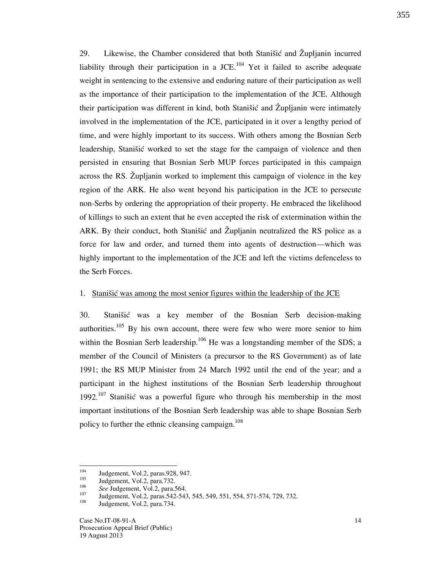29. Likewise, the Chamber considered that both Stanistic and  $\tilde{Z}$ upljanin incurred liability through their participation in a JCE.<sup>104</sup> Yet it failed to ascribe adequate weight in sentencing to the extensive and enduring nature of their participation as well as the importance of their participation to the implementation of the JCE. Although their participation was different in kind, both Stanišić and Zupljanin were intimately involved in the implementation of the JCE, participated in it over a lengthy period of time, and were highly important to its success. With others among the Bosnian Serb leadership, Stanišić worked to set the stage for the campaign of violence and then persisted in ensuring that Bosnian Serb MUP forces participated in this campaign across the RS. Zupljanin worked to implement this campaign of violence in the key region of the ARK. He also went beyond his participation in the JCE to persecute non-Serbs by ordering the appropriation of their property. He embraced the likelihood of killings to such an extent that he even accepted the risk of extermination within the ARK. By their conduct, both Stanistic and  $\tilde{Z}$ upljanin neutralized the RS police as a force for law and order, and turned them into agents of destruction—which was highly important to the implementation of the JCE and left the victims defenceless to the Serb Forces.

#### 1. Stanisić was among the most senior figures within the leadership of the JCE

30. Stanišić was a key member of the Bosnian Serb decision-making authorities.<sup>105</sup> By his own account, there were few who were more senior to him within the Bosnian Serb leadership.<sup>106</sup> He was a longstanding member of the SDS; a member of the Council of Ministers (a precursor to the RS Government) as of late 1991; the RS MUP Minister from 24 March 1992 until the end of the year; and a participant in the highest institutions of the Bosnian Serb leadership throughout 1992.<sup>107</sup> Stanišić was a powerful figure who through his membership in the most important institutions of the Bosnian Serb leadership was able to shape Bosnian Serb policy to further the ethnic cleansing campaign.<sup>108</sup>

<sup>104</sup>  $104$  Judgement, Vol.2, paras.928, 947.

Judgement, Vol.2, para.732.

<sup>106</sup>  $\frac{106}{107}$  See Judgement, Vol.2, para.564.

 $107$  Judgement, Vol.2, paras.542-543, 545, 549, 551, 554, 571-574, 729, 732.

Judgement, Vol.2, para.734.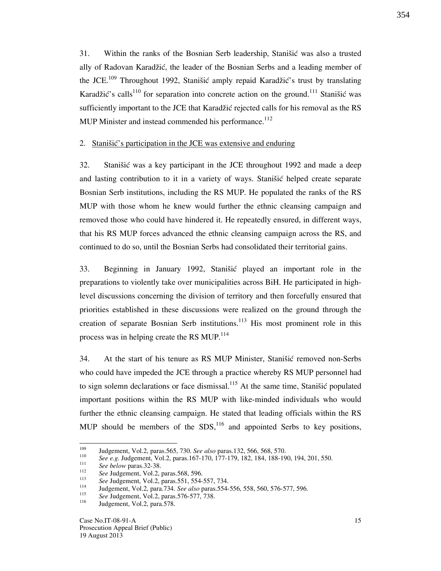31. Within the ranks of the Bosnian Serb leadership, Stanistic was also a trusted ally of Radovan Karadžić, the leader of the Bosnian Serbs and a leading member of the JCE.<sup>109</sup> Throughout 1992, Stanišić amply repaid Karadžić's trust by translating Karadžić's calls<sup>110</sup> for separation into concrete action on the ground.<sup>111</sup> Stanišić was sufficiently important to the JCE that Karadžić rejected calls for his removal as the RS MUP Minister and instead commended his performance. $112$ 

### 2. Stanišić's participation in the JCE was extensive and enduring

32. Stanišić was a key participant in the JCE throughout 1992 and made a deep and lasting contribution to it in a variety of ways. Stanistic helped create separate Bosnian Serb institutions, including the RS MUP. He populated the ranks of the RS MUP with those whom he knew would further the ethnic cleansing campaign and removed those who could have hindered it. He repeatedly ensured, in different ways, that his RS MUP forces advanced the ethnic cleansing campaign across the RS, and continued to do so, until the Bosnian Serbs had consolidated their territorial gains.

33. Beginning in January 1992, Stanišić played an important role in the preparations to violently take over municipalities across BiH. He participated in highlevel discussions concerning the division of territory and then forcefully ensured that priorities established in these discussions were realized on the ground through the creation of separate Bosnian Serb institutions.<sup>113</sup> His most prominent role in this process was in helping create the RS MUP.<sup>114</sup>

34. At the start of his tenure as RS MUP Minister, Stanišić removed non-Serbs who could have impeded the JCE through a practice whereby RS MUP personnel had to sign solemn declarations or face dismissal.<sup>115</sup> At the same time, Stanišić populated important positions within the RS MUP with like-minded individuals who would further the ethnic cleansing campaign. He stated that leading officials within the RS MUP should be members of the  $SDS<sub>116</sub>$  and appointed Serbs to key positions,

<sup>109</sup> Judgement, Vol.2, paras.565, 730. See also paras.132, 566, 568, 570.

<sup>110</sup> See e.g. Judgement, Vol.2, paras.167-170, 177-179, 182, 184, 188-190, 194, 201, 550. 111

See below paras.32-38.

<sup>112</sup> See Judgement, Vol.2, paras.568, 596.

<sup>113</sup>  $\frac{113}{114}$  See Judgement, Vol.2, paras.551, 554-557, 734.

Judgement, Vol.2, para.734. See also paras.554-556, 558, 560, 576-577, 596.

<sup>115</sup>  $\frac{115}{116}$  See Judgement, Vol.2, paras.576-577, 738.

Judgement, Vol.2, para.578.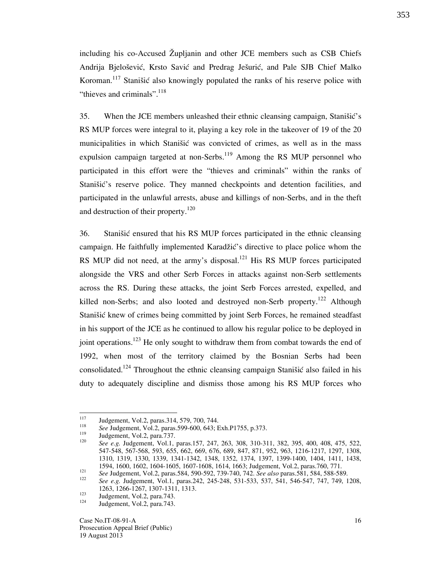including his co-Accused Župljanin and other JCE members such as CSB Chiefs Andrija Bjelošević, Krsto Savić and Predrag Ješurić, and Pale SJB Chief Malko Koroman.<sup>117</sup> Stanišić also knowingly populated the ranks of his reserve police with "thieves and criminals". $118$ 

35. When the JCE members unleashed their ethnic cleansing campaign, Stanistic's RS MUP forces were integral to it, playing a key role in the takeover of 19 of the 20 municipalities in which Stanistic was convicted of crimes, as well as in the mass expulsion campaign targeted at non-Serbs.<sup>119</sup> Among the RS MUP personnel who participated in this effort were the "thieves and criminals" within the ranks of Stanišić's reserve police. They manned checkpoints and detention facilities, and participated in the unlawful arrests, abuse and killings of non-Serbs, and in the theft and destruction of their property.<sup>120</sup>

36. Stanišić ensured that his RS MUP forces participated in the ethnic cleansing campaign. He faithfully implemented Karadžić's directive to place police whom the RS MUP did not need, at the army's disposal.<sup>121</sup> His RS MUP forces participated alongside the VRS and other Serb Forces in attacks against non-Serb settlements across the RS. During these attacks, the joint Serb Forces arrested, expelled, and killed non-Serbs; and also looted and destroyed non-Serb property.<sup>122</sup> Although Stanišić knew of crimes being committed by joint Serb Forces, he remained steadfast in his support of the JCE as he continued to allow his regular police to be deployed in joint operations.<sup>123</sup> He only sought to withdraw them from combat towards the end of 1992, when most of the territory claimed by the Bosnian Serbs had been consolidated.<sup>124</sup> Throughout the ethnic cleansing campaign Stanišić also failed in his duty to adequately discipline and dismiss those among his RS MUP forces who

<sup>117</sup> Judgement, Vol.2, paras.314, 579, 700, 744.

<sup>118</sup> <sup>118</sup> See Judgement, Vol.2, paras.599-600, 643; Exh.P1755, p.373.

Judgement, Vol.2, para.737.

<sup>120</sup> See e.g. Judgement, Vol.1, paras.157, 247, 263, 308, 310-311, 382, 395, 400, 408, 475, 522, 547-548, 567-568, 593, 655, 662, 669, 676, 689, 847, 871, 952, 963, 1216-1217, 1297, 1308, 1310, 1319, 1330, 1339, 1341-1342, 1348, 1352, 1374, 1397, 1399-1400, 1404, 1411, 1438, 1594, 1600, 1602, 1604-1605, 1607-1608, 1614, 1663; Judgement, Vol.2, paras.760, 771. 121

See Judgement, Vol.2, paras.584, 590-592, 739-740, 742. See also paras.581, 584, 588-589.

<sup>122</sup> See e.g. Judgement, Vol.1, paras.242, 245-248, 531-533, 537, 541, 546-547, 747, 749, 1208, 1263, 1266-1267, 1307-1311, 1313.

 $123 \text{Judgement, Vol.2, para.743.}$ 

Judgement, Vol.2, para.743.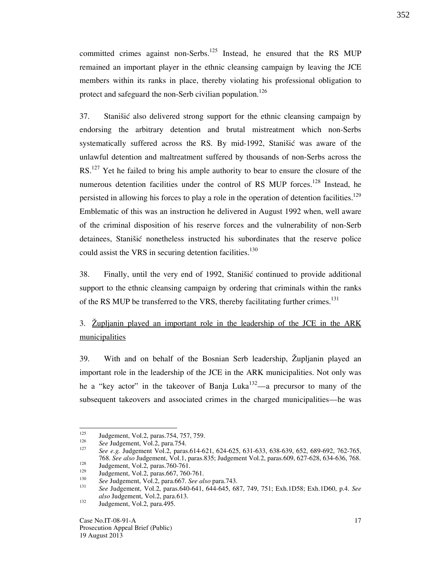committed crimes against non-Serbs.<sup>125</sup> Instead, he ensured that the RS MUP remained an important player in the ethnic cleansing campaign by leaving the JCE members within its ranks in place, thereby violating his professional obligation to protect and safeguard the non-Serb civilian population.<sup>126</sup>

37. Stanišić also delivered strong support for the ethnic cleansing campaign by endorsing the arbitrary detention and brutal mistreatment which non-Serbs systematically suffered across the RS. By mid-1992, Stanišić was aware of the unlawful detention and maltreatment suffered by thousands of non-Serbs across the RS.<sup>127</sup> Yet he failed to bring his ample authority to bear to ensure the closure of the numerous detention facilities under the control of RS MUP forces.<sup>128</sup> Instead, he persisted in allowing his forces to play a role in the operation of detention facilities.<sup>129</sup> Emblematic of this was an instruction he delivered in August 1992 when, well aware of the criminal disposition of his reserve forces and the vulnerability of non-Serb detainees, Stanišić nonetheless instructed his subordinates that the reserve police could assist the VRS in securing detention facilities.<sup>130</sup>

38. Finally, until the very end of 1992, Stanistic continued to provide additional support to the ethnic cleansing campaign by ordering that criminals within the ranks of the RS MUP be transferred to the VRS, thereby facilitating further crimes.<sup>131</sup>

3. Zupljanin played an important role in the leadership of the JCE in the ARK municipalities

39. With and on behalf of the Bosnian Serb leadership, Župljanin played an important role in the leadership of the JCE in the ARK municipalities. Not only was he a "key actor" in the takeover of Banja Luka<sup>132</sup>—a precursor to many of the subsequent takeovers and associated crimes in the charged municipalities—he was

<sup>125</sup> Judgement, Vol.2, paras.754, 757, 759.

<sup>126</sup> See Judgement, Vol.2, para.754.

<sup>127</sup> See e.g. Judgement Vol.2, paras.614-621, 624-625, 631-633, 638-639, 652, 689-692, 762-765, 768. See also Judgement, Vol.1, paras.835; Judgement Vol.2, paras.609, 627-628, 634-636, 768.

 $\frac{128}{129}$  Judgement, Vol.2, paras.760-761.

Judgement, Vol.2, paras.667, 760-761. 130

See Judgement, Vol.2, para.667. See also para.743. 131

See Judgement, Vol.2, paras.640-641, 644-645, 687, 749, 751; Exh.1D58; Exh.1D60, p.4. See also Judgement, Vol.2, para.613.

<sup>&</sup>lt;sup>132</sup> Judgement, Vol.2, para.495.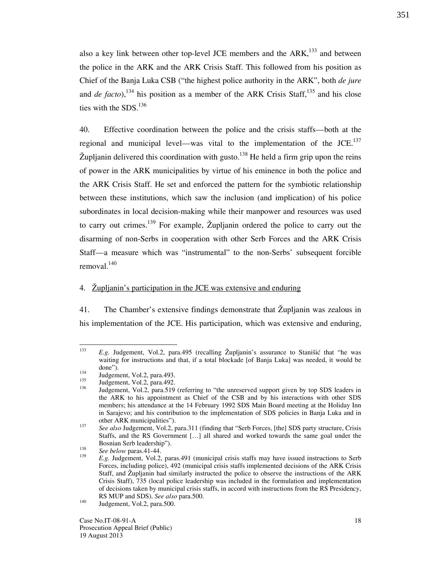also a key link between other top-level JCE members and the  $ARK$ ,<sup>133</sup> and between the police in the ARK and the ARK Crisis Staff. This followed from his position as Chief of the Banja Luka CSB ("the highest police authority in the ARK", both *de jure* and de facto),<sup>134</sup> his position as a member of the ARK Crisis Staff,<sup>135</sup> and his close ties with the  $SDS$ <sup>136</sup>

40. Effective coordination between the police and the crisis staffs—both at the regional and municipal level—was vital to the implementation of the  $JCE$ <sup>137</sup>  $\check{Z}$ upljanin delivered this coordination with gusto.<sup>138</sup> He held a firm grip upon the reins of power in the ARK municipalities by virtue of his eminence in both the police and the ARK Crisis Staff. He set and enforced the pattern for the symbiotic relationship between these institutions, which saw the inclusion (and implication) of his police subordinates in local decision-making while their manpower and resources was used to carry out crimes.<sup>139</sup> For example,  $\check{Z}$ upljanin ordered the police to carry out the disarming of non-Serbs in cooperation with other Serb Forces and the ARK Crisis Staff—a measure which was "instrumental" to the non-Serbs' subsequent forcible removal. $140$ 

#### 4. Župljanin's participation in the JCE was extensive and enduring

41. The Chamber's extensive findings demonstrate that  $\check{Z}$ upljanin was zealous in his implementation of the JCE. His participation, which was extensive and enduring,

 $\frac{1}{133}$  $E.g.$  Judgement, Vol.2, para.495 (recalling  $\tilde{Z}$ upljanin's assurance to Stanišić that "he was waiting for instructions and that, if a total blockade [of Banja Luka] was needed, it would be done").

 $\frac{134}{135}$  Judgement, Vol.2, para.493.

 $\frac{135}{136}$  Judgement, Vol.2, para.492.

Judgement, Vol.2, para.519 (referring to "the unreserved support given by top SDS leaders in the ARK to his appointment as Chief of the CSB and by his interactions with other SDS members; his attendance at the 14 February 1992 SDS Main Board meeting at the Holiday Inn in Sarajevo; and his contribution to the implementation of SDS policies in Banja Luka and in other ARK municipalities").

<sup>137</sup> See also Judgement, Vol.2, para.311 (finding that "Serb Forces, [the] SDS party structure, Crisis Staffs, and the RS Government [...] all shared and worked towards the same goal under the Bosnian Serb leadership"). 138

See below paras.41-44. 139

E.g. Judgement, Vol.2, paras.491 (municipal crisis staffs may have issued instructions to Serb Forces, including police), 492 (municipal crisis staffs implemented decisions of the ARK Crisis Staff, and Župljanin had similarly instructed the police to observe the instructions of the ARK Crisis Staff), 735 (local police leadership was included in the formulation and implementation of decisions taken by municipal crisis staffs, in accord with instructions from the RS Presidency, RS MUP and SDS). See also para.500.

<sup>&</sup>lt;sup>140</sup> Judgement, Vol.2, para.500.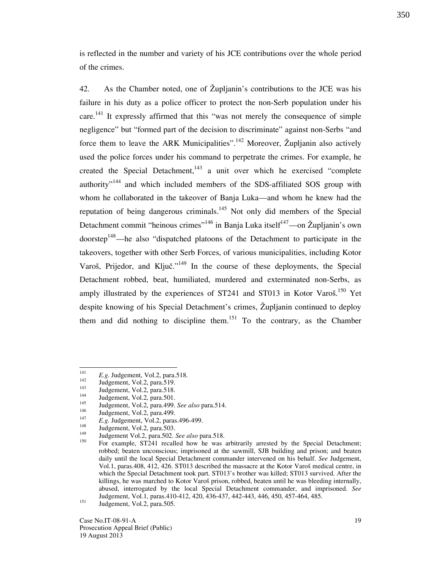is reflected in the number and variety of his JCE contributions over the whole period of the crimes.

42. As the Chamber noted, one of Župljanin's contributions to the JCE was his failure in his duty as a police officer to protect the non-Serb population under his care.<sup>141</sup> It expressly affirmed that this "was not merely the consequence of simple negligence" but "formed part of the decision to discriminate" against non-Serbs "and force them to leave the ARK Municipalities".<sup>142</sup> Moreover, Župljanin also actively used the police forces under his command to perpetrate the crimes. For example, he created the Special Detachment,<sup>143</sup> a unit over which he exercised "complete authority<sup>"144</sup> and which included members of the SDS-affiliated SOS group with whom he collaborated in the takeover of Banja Luka—and whom he knew had the reputation of being dangerous criminals.<sup>145</sup> Not only did members of the Special Detachment commit "heinous crimes"<sup>146</sup> in Banja Luka itself<sup>147</sup>—on Župljanin's own doorstep<sup>148</sup>—he also "dispatched platoons of the Detachment to participate in the takeovers, together with other Serb Forces, of various municipalities, including Kotor Varoš, Prijedor, and Ključ."<sup>149</sup> In the course of these deployments, the Special Detachment robbed, beat, humiliated, murdered and exterminated non-Serbs, as amply illustrated by the experiences of  $ST241$  and  $ST013$  in Kotor Varo $\check{s}$ <sup>150</sup> Yet despite knowing of his Special Detachment's crimes, Župljanin continued to deploy them and did nothing to discipline them.<sup>151</sup> To the contrary, as the Chamber

 $\frac{1}{141}$ <sup>141</sup>  $E.g. \text{ Judgement, Vol.2, para.518.}$ <br>
Indoement, Vol.2, para.510

 $142$  Judgement, Vol.2, para.519.

 $143$  Judgement, Vol.2, para.518.

 $144$  Judgement, Vol.2, para.501.

<sup>&</sup>lt;sup>145</sup> Judgement, Vol.2, para.499. See also para.514.

Judgement, Vol.2, para.499. 147

<sup>&</sup>lt;sup>147</sup> E.g. Judgement, Vol.2, paras.496-499.

<sup>&</sup>lt;sup>148</sup> Judgement, Vol.2, para.503.

<sup>&</sup>lt;sup>149</sup> Judgement Vol.2, para.502. See also para.518.

For example, ST241 recalled how he was arbitrarily arrested by the Special Detachment; robbed; beaten unconscious; imprisoned at the sawmill, SJB building and prison; and beaten daily until the local Special Detachment commander intervened on his behalf. See Judgement, Vol.1, paras.408, 412, 426. ST013 described the massacre at the Kotor Varoš medical centre, in which the Special Detachment took part. ST013's brother was killed; ST013 survived. After the killings, he was marched to Kotor Varoš prison, robbed, beaten until he was bleeding internally, abused, interrogated by the local Special Detachment commander, and imprisoned. See Judgement, Vol.1, paras.410-412, 420, 436-437, 442-443, 446, 450, 457-464, 485.

<sup>&</sup>lt;sup>151</sup> Judgement, Vol.2, para.505.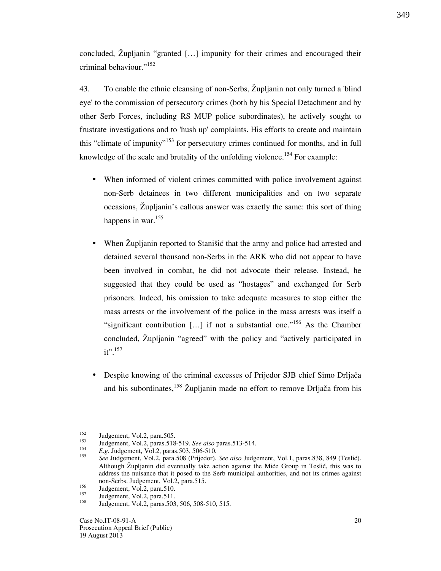concluded, Župljanin "granted [...] impunity for their crimes and encouraged their criminal behaviour."<sup>152</sup>

43. To enable the ethnic cleansing of non-Serbs, @upljanin not only turned a 'blind eye' to the commission of persecutory crimes (both by his Special Detachment and by other Serb Forces, including RS MUP police subordinates), he actively sought to frustrate investigations and to 'hush up' complaints. His efforts to create and maintain this "climate of impunity"<sup>153</sup> for persecutory crimes continued for months, and in full knowledge of the scale and brutality of the unfolding violence.<sup>154</sup> For example:

- When informed of violent crimes committed with police involvement against non-Serb detainees in two different municipalities and on two separate occasions, Zupljanin's callous answer was exactly the same: this sort of thing happens in war.<sup>155</sup>
- When Župljanin reported to Stanišić that the army and police had arrested and detained several thousand non-Serbs in the ARK who did not appear to have been involved in combat, he did not advocate their release. Instead, he suggested that they could be used as "hostages" and exchanged for Serb prisoners. Indeed, his omission to take adequate measures to stop either the mass arrests or the involvement of the police in the mass arrests was itself a "significant contribution  $[\dots]$  if not a substantial one."<sup>156</sup> As the Chamber concluded, Župljanin "agreed" with the policy and "actively participated in  $it$ ".<sup>157</sup>
- Despite knowing of the criminal excesses of Prijedor SJB chief Simo Drljača and his subordinates,<sup>158</sup> Župljanin made no effort to remove Drljača from his

<sup>152</sup>  $152$  Judgement, Vol.2, para.505.

<sup>153</sup> Judgement, Vol.2, paras.518-519. See also paras.513-514.

<sup>154</sup> E.g. Judgement, Vol.2, paras.503, 506-510.

<sup>155</sup> See Judgement, Vol.2, para.508 (Prijedor). See also Judgement, Vol.1, paras.838, 849 (Teslić). Although  $\check{Z}$ upljanin did eventually take action against the Mice Group in Teslic, this was to address the nuisance that it posed to the Serb municipal authorities, and not its crimes against non-Serbs. Judgement, Vol.2, para.515.

 $\frac{156}{157}$  Judgement, Vol.2, para.510.

 $157$  Judgement, Vol.2, para.511.

Judgement, Vol.2, paras.503, 506, 508-510, 515.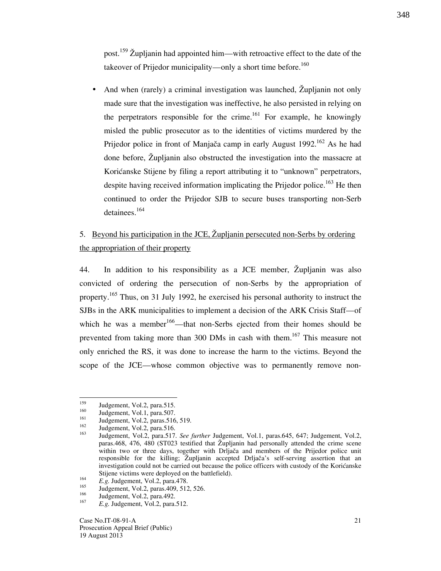post.<sup>159</sup> Župljanin had appointed him—with retroactive effect to the date of the takeover of Prijedor municipality—only a short time before.<sup>160</sup>

And when (rarely) a criminal investigation was launched, Zupljanin not only made sure that the investigation was ineffective, he also persisted in relying on the perpetrators responsible for the crime.<sup>161</sup> For example, he knowingly misled the public prosecutor as to the identities of victims murdered by the Prijedor police in front of Manjača camp in early August 1992.<sup>162</sup> As he had done before, Župljanin also obstructed the investigation into the massacre at Korićanske Stijene by filing a report attributing it to "unknown" perpetrators, despite having received information implicating the Prijedor police.<sup>163</sup> He then continued to order the Prijedor SJB to secure buses transporting non-Serb detainees.<sup>164</sup>

# 5. Beyond his participation in the JCE, Župljanin persecuted non-Serbs by ordering the appropriation of their property

44. In addition to his responsibility as a JCE member,  $\check{Z}$ upljanin was also convicted of ordering the persecution of non-Serbs by the appropriation of property.<sup>165</sup> Thus, on 31 July 1992, he exercised his personal authority to instruct the SJBs in the ARK municipalities to implement a decision of the ARK Crisis Staff—of which he was a member<sup>166</sup>—that non-Serbs ejected from their homes should be prevented from taking more than 300 DMs in cash with them.<sup>167</sup> This measure not only enriched the RS, it was done to increase the harm to the victims. Beyond the scope of the JCE—whose common objective was to permanently remove non-

<sup>159</sup>  $^{159}$  Judgement, Vol.2, para.515.

 $^{160}$  Judgement, Vol.1, para.507.

<sup>&</sup>lt;sup>161</sup> Judgement, Vol.2, paras.516, 519.

 $\frac{162}{163}$  Judgement, Vol.2, para.516.

Judgement, Vol.2, para.517. See further Judgement, Vol.1, paras.645, 647; Judgement, Vol.2, paras.468, 476, 480 (ST023 testified that  $\tilde{Z}$ upljanin had personally attended the crime scene within two or three days, together with Drljača and members of the Prijedor police unit responsible for the killing; Zupljanin accepted Drljača's self-serving assertion that an investigation could not be carried out because the police officers with custody of the Korićanske Stijene victims were deployed on the battlefield).

<sup>164</sup>  $E.g. \text{Judgement, Vol.2, para. } 478.$ 

 $^{165}$  Judgement, Vol.2, paras.409, 512, 526.

Judgement, Vol.2, para.492.

<sup>167</sup> E.g. Judgement, Vol.2, para.512.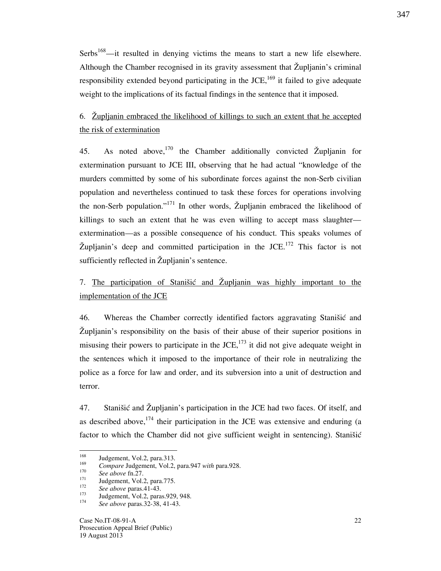Serbs<sup>168</sup>—it resulted in denying victims the means to start a new life elsewhere. Although the Chamber recognised in its gravity assessment that  $\check{Z}$ upljanin's criminal responsibility extended beyond participating in the JCE,  $^{169}$  it failed to give adequate weight to the implications of its factual findings in the sentence that it imposed.

# 6. @upljanin embraced the likelihood of killings to such an extent that he accepted the risk of extermination

45. As noted above,<sup>170</sup> the Chamber additionally convicted Župljanin for extermination pursuant to JCE III, observing that he had actual "knowledge of the murders committed by some of his subordinate forces against the non-Serb civilian population and nevertheless continued to task these forces for operations involving the non-Serb population."<sup>171</sup> In other words, Župljanin embraced the likelihood of killings to such an extent that he was even willing to accept mass slaughter extermination—as a possible consequence of his conduct. This speaks volumes of Župljanin's deep and committed participation in the JCE.<sup>172</sup> This factor is not sufficiently reflected in Župljanin's sentence.

# 7. The participation of Stanisic and Župljanin was highly important to the implementation of the JCE

46. Whereas the Chamber correctly identified factors aggravating Stanišić and  $\tilde{Z}$ upljanin's responsibility on the basis of their abuse of their superior positions in misusing their powers to participate in the JCE, $^{173}$  it did not give adequate weight in the sentences which it imposed to the importance of their role in neutralizing the police as a force for law and order, and its subversion into a unit of destruction and terror.

47. Stanišić and Župljanin's participation in the JCE had two faces. Of itself, and as described above,  $174$  their participation in the JCE was extensive and enduring (a factor to which the Chamber did not give sufficient weight in sentencing). Stanišić

<sup>168</sup> Judgement, Vol.2, para.313. 169

Compare Judgement, Vol.2, para.947 with para.928. 170

 $\frac{1}{171}$  See above fn.27.

Judgement, Vol.2, para.775.

<sup>172</sup>  $\frac{1}{2}$  See above paras.41-43.

Judgement, Vol.2, paras.929, 948.

<sup>174</sup> See above paras.32-38, 41-43.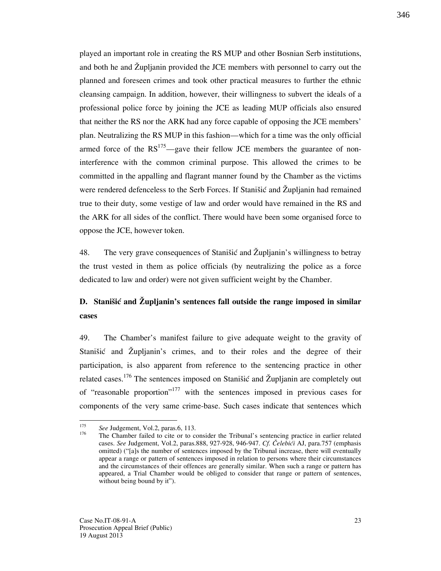played an important role in creating the RS MUP and other Bosnian Serb institutions, and both he and Župljanin provided the JCE members with personnel to carry out the planned and foreseen crimes and took other practical measures to further the ethnic cleansing campaign. In addition, however, their willingness to subvert the ideals of a professional police force by joining the JCE as leading MUP officials also ensured that neither the RS nor the ARK had any force capable of opposing the JCE members' plan. Neutralizing the RS MUP in this fashion—which for a time was the only official armed force of the  $RS^{175}$ —gave their fellow JCE members the guarantee of noninterference with the common criminal purpose. This allowed the crimes to be committed in the appalling and flagrant manner found by the Chamber as the victims were rendered defenceless to the Serb Forces. If Stanistic and Zupljanin had remained true to their duty, some vestige of law and order would have remained in the RS and the ARK for all sides of the conflict. There would have been some organised force to oppose the JCE, however token.

48. The very grave consequences of Stanistic and Župljanin's willingness to betray the trust vested in them as police officials (by neutralizing the police as a force dedicated to law and order) were not given sufficient weight by the Chamber.

# D. Stanišić and  $\mathring{Z}$ upljanin's sentences fall outside the range imposed in similar cases

49. The Chamber's manifest failure to give adequate weight to the gravity of Stanišić and Župljanin's crimes, and to their roles and the degree of their participation, is also apparent from reference to the sentencing practice in other related cases.<sup>176</sup> The sentences imposed on Stanišić and Župljanin are completely out of "reasonable proportion"<sup>177</sup> with the sentences imposed in previous cases for components of the very same crime-base. Such cases indicate that sentences which

23

 $\frac{1}{175}$  $s^{175}$  See Judgement, Vol.2, paras.6, 113.

<sup>176</sup> The Chamber failed to cite or to consider the Tribunal's sentencing practice in earlier related cases. See Judgement, Vol.2, paras.888, 927-928, 946-947. Cf. Čelebići AJ, para.757 (emphasis omitted) ("[a]s the number of sentences imposed by the Tribunal increase, there will eventually appear a range or pattern of sentences imposed in relation to persons where their circumstances and the circumstances of their offences are generally similar. When such a range or pattern has appeared, a Trial Chamber would be obliged to consider that range or pattern of sentences, without being bound by it".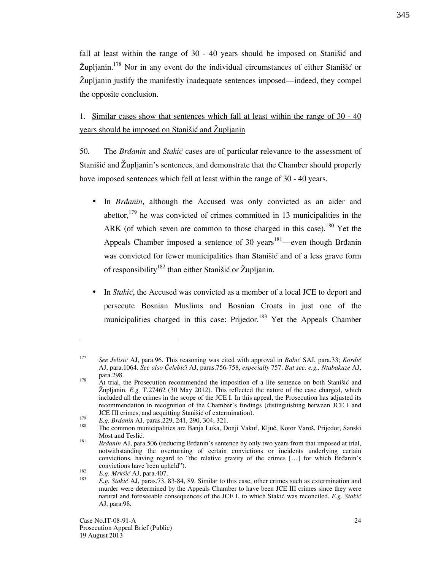fall at least within the range of  $30 - 40$  years should be imposed on Stanistic and  $\check{Z}$ upljanin.<sup>178</sup> Nor in any event do the individual circumstances of either Stanišić or @upljanin justify the manifestly inadequate sentences imposed—indeed, they compel the opposite conclusion.

1. Similar cases show that sentences which fall at least within the range of 30 - 40 years should be imposed on Stanistic and  $\tilde{Z}$ upljanin

50. The Braanin and Stakić cases are of particular relevance to the assessment of Stanišić and Župljanin's sentences, and demonstrate that the Chamber should properly have imposed sentences which fell at least within the range of 30 - 40 years.

- In Brdanin, although the Accused was only convicted as an aider and abettor,  $179$  he was convicted of crimes committed in 13 municipalities in the ARK (of which seven are common to those charged in this case).<sup>180</sup> Yet the Appeals Chamber imposed a sentence of 30 years<sup>181</sup>—even though Brdanin was convicted for fewer municipalities than Stanišić and of a less grave form of responsibility<sup>182</sup> than either Stanišić or Župljanin.
- In *Stakić*, the Accused was convicted as a member of a local JCE to deport and persecute Bosnian Muslims and Bosnian Croats in just one of the municipalities charged in this case: Prijedor.<sup>183</sup> Yet the Appeals Chamber

-

<sup>177</sup> See Jelisić AJ, para.96. This reasoning was cited with approval in Babić SAJ, para.33; Kordić AJ, para.1064. See also Čelebići AJ, paras.756-758, especially 757. But see, e.g., Ntabakuze AJ, para.298.

<sup>&</sup>lt;sup>178</sup> At trial, the Prosecution recommended the imposition of a life sentence on both Stanišić and Župljanin. E.g. T.27462 (30 May 2012). This reflected the nature of the case charged, which included all the crimes in the scope of the JCE I. In this appeal, the Prosecution has adjusted its recommendation in recognition of the Chamber's findings (distinguishing between JCE I and JCE III crimes, and acquitting Stanišić of extermination).

<sup>179</sup> <sup>179</sup> E.g. Brdanin AJ, paras.229, 241, 290, 304, 321.

The common municipalities are Banja Luka, Donji Vakuf, Ključ, Kotor Varoš, Prijedor, Sanski Most and Teslić.

<sup>181</sup> Brdanin AJ, para.506 (reducing Brdanin's sentence by only two years from that imposed at trial, notwithstanding the overturning of certain convictions or incidents underlying certain convictions, having regard to "the relative gravity of the crimes  $[\dots]$  for which Brdanin's convictions have been upheld"). 182

 $E.g.$  Mrkšić AJ, para.407. 183

E.g. Stakić AJ, paras.73, 83-84, 89. Similar to this case, other crimes such as extermination and murder were determined by the Appeals Chamber to have been JCE III crimes since they were natural and foreseeable consequences of the JCE I, to which Stakić was reconciled. E.g. Stakić AJ, para.98.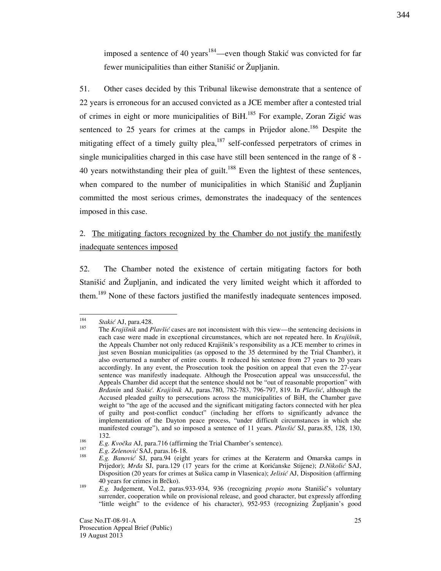imposed a sentence of 40 years<sup>184</sup>—even though Stakić was convicted for far fewer municipalities than either Stanišić or Župljanin.

51. Other cases decided by this Tribunal likewise demonstrate that a sentence of 22 years is erroneous for an accused convicted as a JCE member after a contested trial of crimes in eight or more municipalities of BiH.<sup>185</sup> For example, Zoran Zigić was sentenced to 25 years for crimes at the camps in Prijedor alone.<sup>186</sup> Despite the mitigating effect of a timely guilty plea, $^{187}$  self-confessed perpetrators of crimes in single municipalities charged in this case have still been sentenced in the range of 8 - 40 years notwithstanding their plea of guilt.<sup>188</sup> Even the lightest of these sentences, when compared to the number of municipalities in which Stanistic and  $\check{Z}$ upljanin committed the most serious crimes, demonstrates the inadequacy of the sentences imposed in this case.

### 2. The mitigating factors recognized by the Chamber do not justify the manifestly inadequate sentences imposed

52. The Chamber noted the existence of certain mitigating factors for both Stanišić and Župljanin, and indicated the very limited weight which it afforded to them.<sup>189</sup> None of these factors justified the manifestly inadequate sentences imposed.

 184  $\frac{184}{185}$  Stakić AJ, para.428.

The Krajišnik and Plavšić cases are not inconsistent with this view—the sentencing decisions in each case were made in exceptional circumstances, which are not repeated here. In Krajišnik, the Appeals Chamber not only reduced Krajišnik's responsibility as a JCE member to crimes in just seven Bosnian municipalities (as opposed to the 35 determined by the Trial Chamber), it also overturned a number of entire counts. It reduced his sentence from 27 years to 20 years accordingly. In any event, the Prosecution took the position on appeal that even the 27-year sentence was manifestly inadequate. Although the Prosecution appeal was unsuccessful, the Appeals Chamber did accept that the sentence should not be "out of reasonable proportion" with Brdanin and Stakić. Krajišnik AJ, paras.780, 782-783, 796-797, 819. In Plavšić, although the Accused pleaded guilty to persecutions across the municipalities of BiH, the Chamber gave weight to "the age of the accused and the significant mitigating factors connected with her plea of guilty and post-conflict conduct" (including her efforts to significantly advance the implementation of the Dayton peace process, "under difficult circumstances in which she manifested courage"), and so imposed a sentence of 11 years. Plavšić SJ, paras.85, 128, 130, 132.

<sup>186</sup>  $E.g. Kvočka AJ$ , para.716 (affirming the Trial Chamber's sentence). 187

E.g. Zelenović SAJ, paras.16-18. 188

E.g. Banović SJ, para.94 (eight years for crimes at the Keraterm and Omarska camps in Prijedor); Mrda SJ, para.129 (17 years for the crime at Korićanske Stijene); D.Nikolić SAJ, Disposition (20 years for crimes at Sušica camp in Vlasenica); *Jelisić* AJ, Disposition (affirming 40 years for crimes in Brčko).

<sup>189</sup>  $E.g.$  Judgement, Vol.2, paras.933-934, 936 (recognizing *propio motu* Stanišić's voluntary surrender, cooperation while on provisional release, and good character, but expressly affording "little weight" to the evidence of his character),  $952-953$  (recognizing  $\check{Z}$ upljanin's good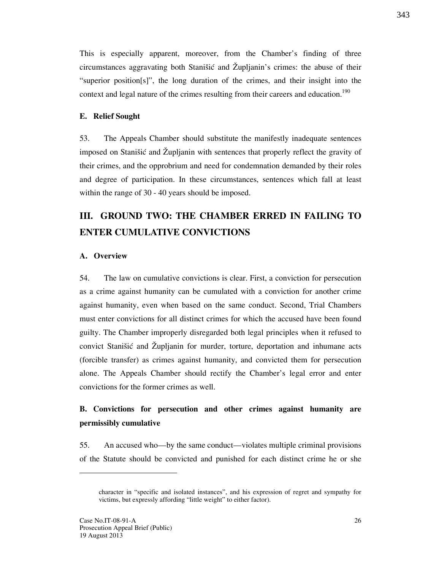This is especially apparent, moreover, from the Chamber's finding of three circumstances aggravating both Stanišić and  $\check{Z}$ upljanin's crimes: the abuse of their "superior position $[s]$ ", the long duration of the crimes, and their insight into the context and legal nature of the crimes resulting from their careers and education.<sup>190</sup>

#### E. Relief Sought

53. The Appeals Chamber should substitute the manifestly inadequate sentences imposed on Stanišić and Župljanin with sentences that properly reflect the gravity of their crimes, and the opprobrium and need for condemnation demanded by their roles and degree of participation. In these circumstances, sentences which fall at least within the range of 30 - 40 years should be imposed.

# III. GROUND TWO: THE CHAMBER ERRED IN FAILING TO ENTER CUMULATIVE CONVICTIONS

#### A. Overview

54. The law on cumulative convictions is clear. First, a conviction for persecution as a crime against humanity can be cumulated with a conviction for another crime against humanity, even when based on the same conduct. Second, Trial Chambers must enter convictions for all distinct crimes for which the accused have been found guilty. The Chamber improperly disregarded both legal principles when it refused to convict Stanišić and Župljanin for murder, torture, deportation and inhumane acts (forcible transfer) as crimes against humanity, and convicted them for persecution alone. The Appeals Chamber should rectify the Chamber's legal error and enter convictions for the former crimes as well.

# B. Convictions for persecution and other crimes against humanity are permissibly cumulative

55. An accused who—by the same conduct—violates multiple criminal provisions of the Statute should be convicted and punished for each distinct crime he or she

-

character in "specific and isolated instances", and his expression of regret and sympathy for victims, but expressly affording "little weight" to either factor).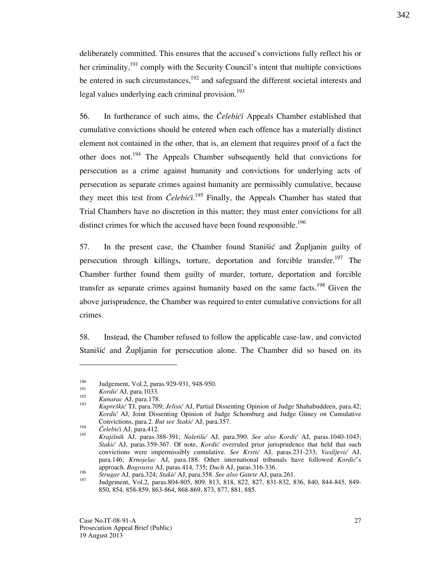deliberately committed. This ensures that the accused's convictions fully reflect his or her criminality, $191$  comply with the Security Council's intent that multiple convictions be entered in such circumstances, $192$  and safeguard the different societal interests and legal values underlying each criminal provision.<sup>193</sup>

56. In furtherance of such aims, the *Celebići* Appeals Chamber established that cumulative convictions should be entered when each offence has a materially distinct element not contained in the other, that is, an element that requires proof of a fact the other does not.<sup>194</sup> The Appeals Chamber subsequently held that convictions for persecution as a crime against humanity and convictions for underlying acts of persecution as separate crimes against humanity are permissibly cumulative, because they meet this test from  $\check{C}elebi\acute{c}i$ .<sup>195</sup> Finally, the Appeals Chamber has stated that Trial Chambers have no discretion in this matter; they must enter convictions for all distinct crimes for which the accused have been found responsible.<sup>196</sup>

57. In the present case, the Chamber found Stanistic and  $\tilde{Z}$ upljanin guilty of persecution through killings, torture, deportation and forcible transfer.<sup>197</sup> The Chamber further found them guilty of murder, torture, deportation and forcible transfer as separate crimes against humanity based on the same facts.<sup>198</sup> Given the above jurisprudence, the Chamber was required to enter cumulative convictions for all crimes.

58. Instead, the Chamber refused to follow the applicable case-law, and convicted Stanišić and Župljanin for persecution alone. The Chamber did so based on its

-

<sup>190</sup> Judgement, Vol.2, paras.929-931, 948-950. 191

Kordić AJ, para.1033. 192

Kunarac AJ, para.178. 193

Kupreškić TJ, para.709; Jelisić AJ, Partial Dissenting Opinion of Judge Shahabuddeen, para.42; Kordić AJ, Joint Dissenting Opinion of Judge Schomburg and Judge Güney on Cumulative Convictions, para.2. But see Stakić AJ, para.357. 194

Čelebići AJ, para.412. 195

Krajišnik AJ, paras.388-391; Naletilić AJ, para.590. See also Kordić AJ, paras.1040-1043; Stakić AJ, paras.359-367. Of note, Kordić overruled prior jurisprudence that held that such convictions were impermissibly cumulative. See Krstić AJ, paras.231-233; Vasiljević AJ, para.146; Krnojelac AJ, para.188. Other international tribunals have followed Kordic's approach. Bagosora AJ, paras.414, 735; Duch AJ, paras.316-336.

<sup>196</sup>  $^{196}$  Strugar AJ, para.324; Stakić AJ, para.358. See also Gatete AJ, para.261.

<sup>197</sup> Judgement, Vol.2, paras.804-805, 809, 813, 818, 822, 827, 831-832, 836, 840, 844-845, 849- 850, 854, 858-859, 863-864, 868-869, 873, 877, 881, 885.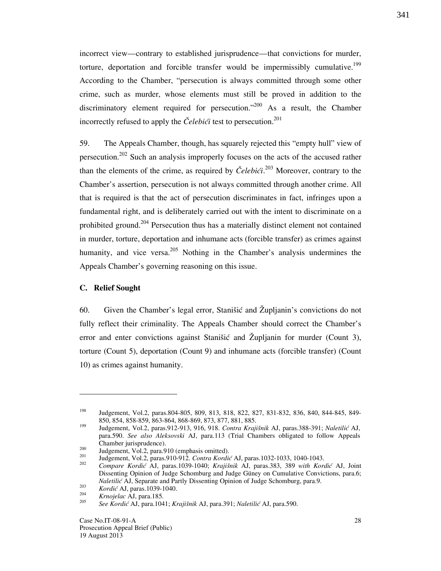incorrect view—contrary to established jurisprudence—that convictions for murder, torture, deportation and forcible transfer would be impermissibly cumulative.<sup>199</sup> According to the Chamber, "persecution is always committed through some other crime, such as murder, whose elements must still be proved in addition to the discriminatory element required for persecution."<sup>200</sup> As a result, the Chamber incorrectly refused to apply the Celebici test to persecution.<sup>201</sup>

59. The Appeals Chamber, though, has squarely rejected this "empty hull" view of persecution.<sup>202</sup> Such an analysis improperly focuses on the acts of the accused rather than the elements of the crime, as required by *Čelebići*.<sup>203</sup> Moreover, contrary to the Chamber's assertion, persecution is not always committed through another crime. All that is required is that the act of persecution discriminates in fact, infringes upon a fundamental right, and is deliberately carried out with the intent to discriminate on a prohibited ground.<sup>204</sup> Persecution thus has a materially distinct element not contained in murder, torture, deportation and inhumane acts (forcible transfer) as crimes against humanity, and vice versa.<sup>205</sup> Nothing in the Chamber's analysis undermines the Appeals Chamber's governing reasoning on this issue.

#### C. Relief Sought

-

60. Given the Chamber's legal error, Stanišić and Župljanin's convictions do not fully reflect their criminality. The Appeals Chamber should correct the Chamber's error and enter convictions against Stanistic and Župljanin for murder (Count 3), torture (Count 5), deportation (Count 9) and inhumane acts (forcible transfer) (Count 10) as crimes against humanity.

<sup>198</sup> Judgement, Vol.2, paras.804-805, 809, 813, 818, 822, 827, 831-832, 836, 840, 844-845, 849- 850, 854, 858-859, 863-864, 868-869, 873, 877, 881, 885.

<sup>&</sup>lt;sup>199</sup> Judgement, Vol.2, paras.912-913, 916, 918. Contra Krajišnik AJ, paras.388-391; Naletilić AJ, para.590. See also Aleksovski AJ, para.113 (Trial Chambers obligated to follow Appeals Chamber jurisprudence).

 $\frac{200}{201}$  Judgement, Vol.2, para.910 (emphasis omitted).

Judgement, Vol.2, paras.910-912. Contra Kordić AJ, paras.1032-1033, 1040-1043. 202

Compare Kordić AJ, paras.1039-1040; Krajišnik AJ, paras.383, 389 with Kordić AJ, Joint Dissenting Opinion of Judge Schomburg and Judge Güney on Cumulative Convictions, para.6; Naletilić AJ, Separate and Partly Dissenting Opinion of Judge Schomburg, para.9. 203

Kordić AJ, paras.1039-1040. 204

Krnojelac AJ, para.185. 205

See Kordić AJ, para.1041; Krajišnik AJ, para.391; Naletilić AJ, para.590.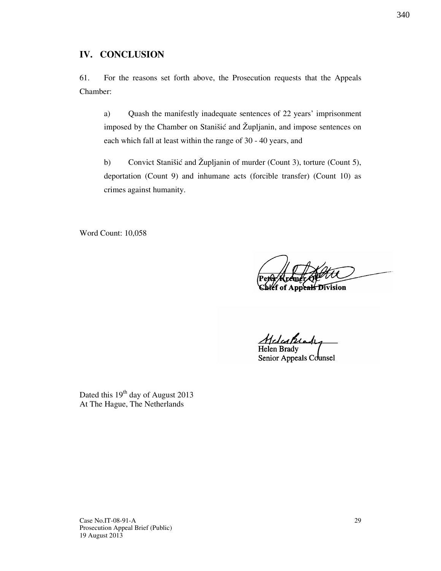61. For the reasons set forth above, the Prosecution requests that the Appeals Chamber:

a) Quash the manifestly inadequate sentences of 22 years' imprisonment imposed by the Chamber on Stanišić and Župljanin, and impose sentences on each which fall at least within the range of 30 - 40 years, and

b) Convict Stanišić and Župljanin of murder (Count 3), torture (Count 5), deportation (Count 9) and inhumane acts (forcible transfer) (Count 10) as crimes against humanity.

Word Count: 10,058

Appeals Division

Helenki

Helen Brady Senior Appeals Counsel

Dated this 19<sup>th</sup> day of August 2013 At The Hague, The Netherlands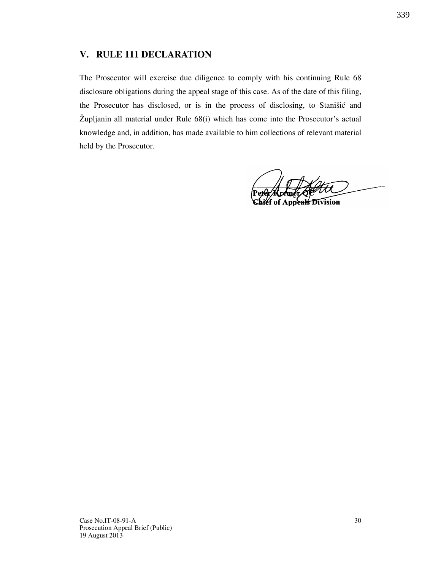#### V. RULE 111 DECLARATION

The Prosecutor will exercise due diligence to comply with his continuing Rule 68 disclosure obligations during the appeal stage of this case. As of the date of this filing, the Prosecutor has disclosed, or is in the process of disclosing, to Stanišić and Župljanin all material under Rule  $68(i)$  which has come into the Prosecutor's actual knowledge and, in addition, has made available to him collections of relevant material held by the Prosecutor.

peals Division

19 August 2013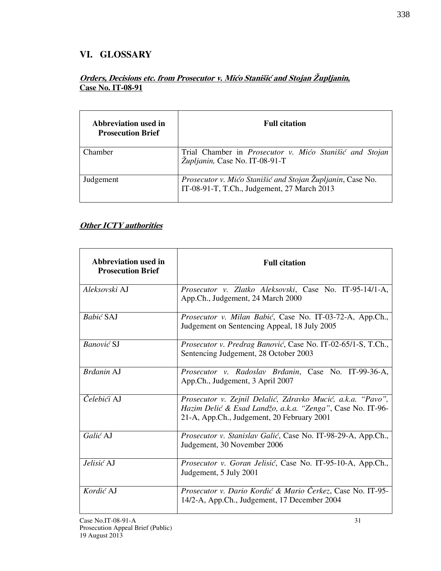### VI. GLOSSARY

### Orders, Decisions etc. from Prosecutor v. Mićo Stanišić and Stojan Župljanin, Case No. IT-08-91

| Abbreviation used in<br><b>Prosecution Brief</b> | <b>Full citation</b>                                                                                      |
|--------------------------------------------------|-----------------------------------------------------------------------------------------------------------|
| Chamber                                          | Trial Chamber in Prosecutor v. Mićo Stanišić and Stojan<br>Żupljanin, Case No. IT-08-91-T                 |
| Judgement                                        | Prosecutor v. Mićo Stanišić and Stojan Župljanin, Case No.<br>IT-08-91-T, T.Ch., Judgement, 27 March 2013 |

### **Other ICTY** authorities

| Abbreviation used in<br><b>Prosecution Brief</b> | <b>Full citation</b>                                                                                                                                                    |
|--------------------------------------------------|-------------------------------------------------------------------------------------------------------------------------------------------------------------------------|
| Aleksovski AJ                                    | Prosecutor v. Zlatko Aleksovski, Case No. IT-95-14/1-A,<br>App.Ch., Judgement, 24 March 2000                                                                            |
| <b>Babić SAJ</b>                                 | Prosecutor v. Milan Babić, Case No. IT-03-72-A, App.Ch.,<br>Judgement on Sentencing Appeal, 18 July 2005                                                                |
| <b>Banović SJ</b>                                | Prosecutor v. Predrag Banović, Case No. IT-02-65/1-S, T.Ch.,<br>Sentencing Judgement, 28 October 2003                                                                   |
| Brdanin AJ                                       | Prosecutor v. Radoslav Brđanin, Case No. IT-99-36-A,<br>App.Ch., Judgement, 3 April 2007                                                                                |
| Čelebići AJ                                      | Prosecutor v. Zejnil Delalić, Zdravko Mucić, a.k.a. "Pavo",<br>Hazim Delić & Esad Landžo, a.k.a. "Zenga", Case No. IT-96-<br>21-A, App.Ch., Judgement, 20 February 2001 |
| Galić AJ                                         | Prosecutor v. Stanislav Galić, Case No. IT-98-29-A, App.Ch.,<br>Judgement, 30 November 2006                                                                             |
| Jelisić AJ                                       | Prosecutor v. Goran Jelisić, Case No. IT-95-10-A, App.Ch.,<br>Judgement, 5 July 2001                                                                                    |
| Kordić AJ                                        | Prosecutor v. Dario Kordić & Mario Čerkez, Case No. IT-95-<br>14/2-A, App.Ch., Judgement, 17 December 2004                                                              |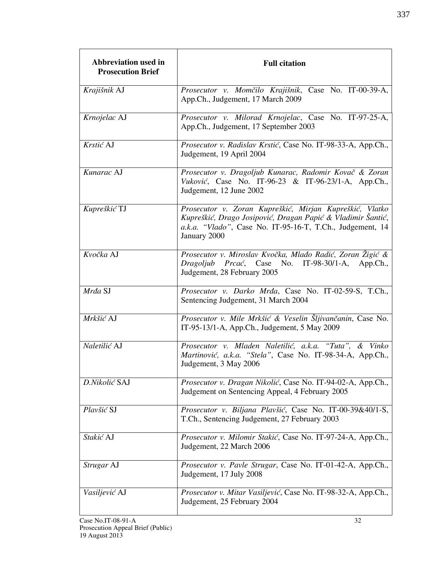| Abbreviation used in<br><b>Prosecution Brief</b> | <b>Full citation</b>                                                                                                                                                                                |
|--------------------------------------------------|-----------------------------------------------------------------------------------------------------------------------------------------------------------------------------------------------------|
| Krajišnik AJ                                     | Prosecutor v. Momčilo Krajišnik, Case No. IT-00-39-A,<br>App.Ch., Judgement, 17 March 2009                                                                                                          |
| Krnojelac AJ                                     | Prosecutor v. Milorad Krnojelac, Case No. IT-97-25-A,<br>App.Ch., Judgement, 17 September 2003                                                                                                      |
| Krstić AJ                                        | Prosecutor v. Radislav Krstić, Case No. IT-98-33-A, App.Ch.,<br>Judgement, 19 April 2004                                                                                                            |
| Kunarac AJ                                       | Prosecutor v. Dragoljub Kunarac, Radomir Kovač & Zoran<br>Vuković, Case No. IT-96-23 & IT-96-23/1-A, App.Ch.,<br>Judgement, 12 June 2002                                                            |
| Kupreškić TJ                                     | Prosecutor v. Zoran Kupreškić, Mirjan Kupreškić, Vlatko<br>Kupreškić, Drago Josipović, Dragan Papić & Vladimir Šantić,<br>a.k.a. "Vlado", Case No. IT-95-16-T, T.Ch., Judgement, 14<br>January 2000 |
| Kvočka AJ                                        | Prosecutor v. Miroslav Kvočka, Mlađo Radić, Zoran Žigić &<br>Dragoljub Prcać, Case No. IT-98-30/1-A, App.Ch.,<br>Judgement, 28 February 2005                                                        |
| Mrda SJ                                          | Prosecutor v. Darko Mrđa, Case No. IT-02-59-S, T.Ch.,<br>Sentencing Judgement, 31 March 2004                                                                                                        |
| Mrkšić AJ                                        | Prosecutor v. Mile Mrkšić & Veselin Šljivančanin, Case No.<br>IT-95-13/1-A, App.Ch., Judgement, 5 May 2009                                                                                          |
| Naletilić AJ                                     | Prosecutor v. Mladen Naletilić, a.k.a. "Tuta", & Vinko<br>Martinović, a.k.a. "Stela", Case No. IT-98-34-A, App.Ch.,<br>Judgement, 3 May 2006                                                        |
| D.Nikolić SAJ                                    | Prosecutor v. Dragan Nikolić, Case No. IT-94-02-A, App.Ch.,<br>Judgement on Sentencing Appeal, 4 February 2005                                                                                      |
| Plavšić SJ                                       | Prosecutor v. Biljana Plavšić, Case No. IT-00-39&40/1-S,<br>T.Ch., Sentencing Judgement, 27 February 2003                                                                                           |
| Stakić AJ                                        | Prosecutor v. Milomir Stakić, Case No. IT-97-24-A, App.Ch.,<br>Judgement, 22 March 2006                                                                                                             |
| Strugar AJ                                       | Prosecutor v. Pavle Strugar, Case No. IT-01-42-A, App.Ch.,<br>Judgement, 17 July 2008                                                                                                               |
| Vasiljević AJ                                    | Prosecutor v. Mitar Vasiljević, Case No. IT-98-32-A, App.Ch.,<br>Judgement, 25 February 2004                                                                                                        |
| Case No.IT-08-91-A                               | 32                                                                                                                                                                                                  |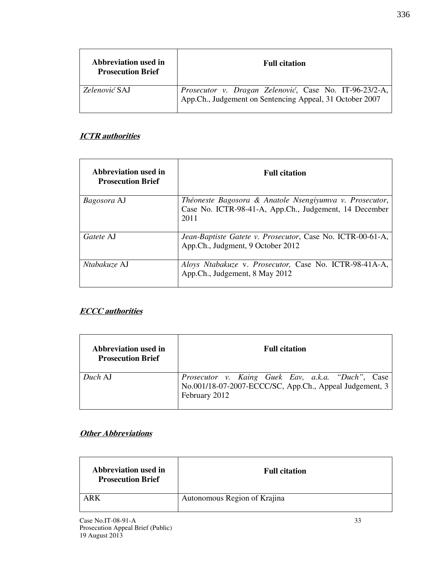| Abbreviation used in<br><b>Prosecution Brief</b> | <b>Full citation</b>                                                                                                    |
|--------------------------------------------------|-------------------------------------------------------------------------------------------------------------------------|
| <i>Zelenović</i> SAJ                             | <i>Prosecutor v. Dragan Zelenović</i> , Case No. IT-96-23/2-A, App.Ch., Judgement on Sentencing Appeal, 31 October 2007 |

### **ICTR** authorities

| Abbreviation used in<br><b>Prosecution Brief</b> | <b>Full citation</b>                                                                                                      |
|--------------------------------------------------|---------------------------------------------------------------------------------------------------------------------------|
| <i>Bagosora</i> AJ                               | Théoneste Bagosora & Anatole Nsengiyumva v. Prosecutor,<br>Case No. ICTR-98-41-A, App.Ch., Judgement, 14 December<br>2011 |
| Gatete AJ                                        | Jean-Baptiste Gatete v. Prosecutor, Case No. ICTR-00-61-A,<br>App.Ch., Judgment, 9 October 2012                           |
| Ntabakuze AJ                                     | Aloys Ntabakuze v. Prosecutor, Case No. ICTR-98-41A-A,<br>App.Ch., Judgement, 8 May 2012                                  |

### **ECCC** authorities

| Abbreviation used in<br><b>Prosecution Brief</b> | <b>Full citation</b>                                                                                                          |
|--------------------------------------------------|-------------------------------------------------------------------------------------------------------------------------------|
| Duch AJ                                          | Prosecutor v. Kaing Guek Eav, a.k.a. "Duch", Case<br>No.001/18-07-2007-ECCC/SC, App.Ch., Appeal Judgement, 3<br>February 2012 |

### **Other Abbreviations**

| Abbreviation used in<br><b>Prosecution Brief</b> | <b>Full citation</b>         |
|--------------------------------------------------|------------------------------|
| ARK                                              | Autonomous Region of Krajina |

336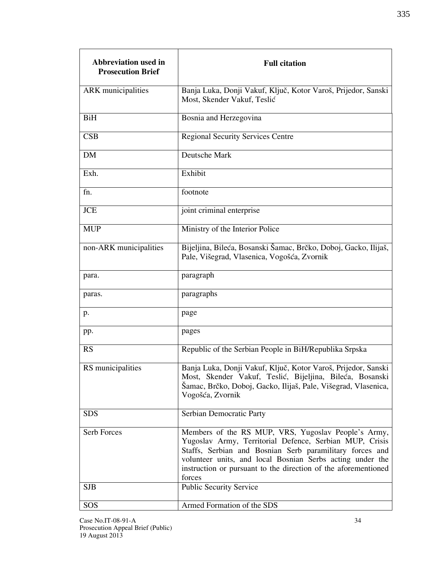| Abbreviation used in<br><b>Prosecution Brief</b> | <b>Full citation</b>                                                                                                                                                                                                                                                                                                |
|--------------------------------------------------|---------------------------------------------------------------------------------------------------------------------------------------------------------------------------------------------------------------------------------------------------------------------------------------------------------------------|
| ARK municipalities                               | Banja Luka, Donji Vakuf, Ključ, Kotor Varoš, Prijedor, Sanski<br>Most, Skender Vakuf, Teslić                                                                                                                                                                                                                        |
| <b>BiH</b>                                       | Bosnia and Herzegovina                                                                                                                                                                                                                                                                                              |
| CSB                                              | <b>Regional Security Services Centre</b>                                                                                                                                                                                                                                                                            |
| <b>DM</b>                                        | Deutsche Mark                                                                                                                                                                                                                                                                                                       |
| Exh.                                             | Exhibit                                                                                                                                                                                                                                                                                                             |
| fn.                                              | footnote                                                                                                                                                                                                                                                                                                            |
| <b>JCE</b>                                       | joint criminal enterprise                                                                                                                                                                                                                                                                                           |
| <b>MUP</b>                                       | Ministry of the Interior Police                                                                                                                                                                                                                                                                                     |
| non-ARK municipalities                           | Bijeljina, Bileća, Bosanski Šamac, Brčko, Doboj, Gacko, Ilijaš,<br>Pale, Višegrad, Vlasenica, Vogošća, Zvornik                                                                                                                                                                                                      |
| para.                                            | paragraph                                                                                                                                                                                                                                                                                                           |
| paras.                                           | paragraphs                                                                                                                                                                                                                                                                                                          |
| p.                                               | page                                                                                                                                                                                                                                                                                                                |
| pp.                                              | pages                                                                                                                                                                                                                                                                                                               |
| <b>RS</b>                                        | Republic of the Serbian People in BiH/Republika Srpska                                                                                                                                                                                                                                                              |
| RS municipalities                                | Banja Luka, Donji Vakuf, Ključ, Kotor Varoš, Prijedor, Sanski<br>Most, Skender Vakuf, Teslić, Bijeljina, Bileća, Bosanski<br>Šamac, Brčko, Doboj, Gacko, Ilijaš, Pale, Višegrad, Vlasenica,<br>Vogošća, Zvornik                                                                                                     |
| <b>SDS</b>                                       | Serbian Democratic Party                                                                                                                                                                                                                                                                                            |
| Serb Forces                                      | Members of the RS MUP, VRS, Yugoslav People's Army,<br>Yugoslav Army, Territorial Defence, Serbian MUP, Crisis<br>Staffs, Serbian and Bosnian Serb paramilitary forces and<br>volunteer units, and local Bosnian Serbs acting under the<br>instruction or pursuant to the direction of the aforementioned<br>forces |
| <b>SJB</b>                                       | Public Security Service                                                                                                                                                                                                                                                                                             |
| SOS                                              | Armed Formation of the SDS                                                                                                                                                                                                                                                                                          |